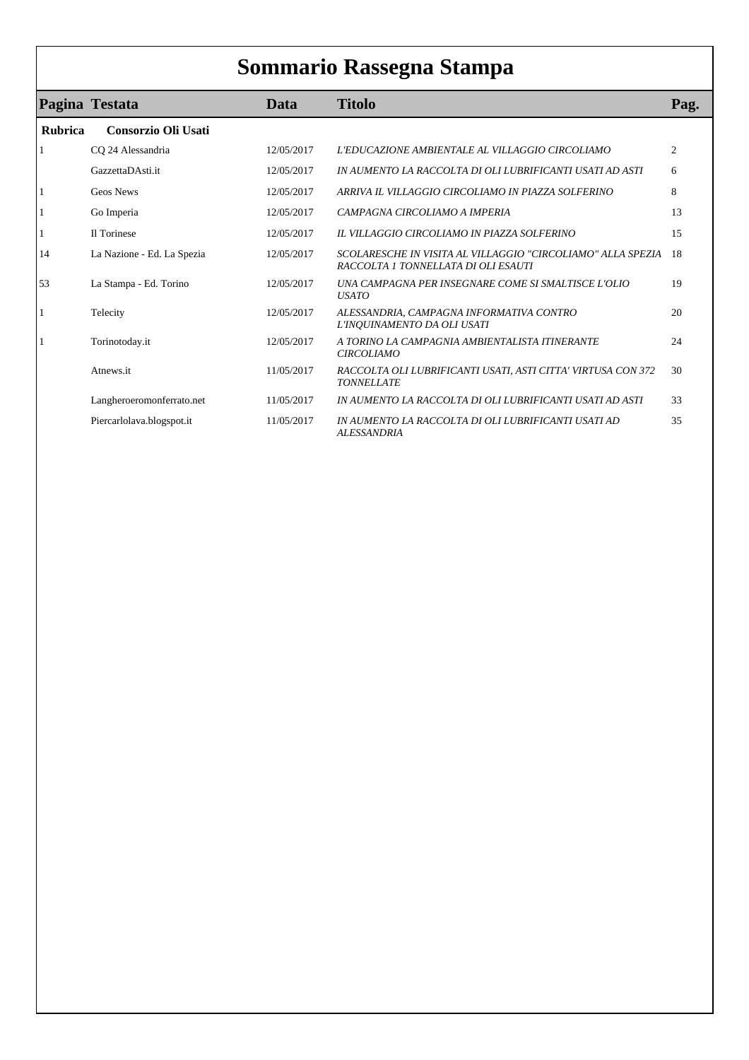## **Sommario Rassegna Stampa**

|                | Pagina Testata             | Data       | <b>Titolo</b>                                                                                      | Pag. |
|----------------|----------------------------|------------|----------------------------------------------------------------------------------------------------|------|
| <b>Rubrica</b> | <b>Consorzio Oli Usati</b> |            |                                                                                                    |      |
| 1              | CQ 24 Alessandria          | 12/05/2017 | L'EDUCAZIONE AMBIENTALE AL VILLAGGIO CIRCOLIAMO                                                    | 2    |
|                | GazzettaDAsti.it           | 12/05/2017 | IN AUMENTO LA RACCOLTA DI OLI LUBRIFICANTI USATI AD ASTI                                           | 6    |
| $\vert$ 1      | Geos News                  | 12/05/2017 | ARRIVA IL VILLAGGIO CIRCOLIAMO IN PIAZZA SOLFERINO                                                 | 8    |
| $\vert$ 1      | Go Imperia                 | 12/05/2017 | CAMPAGNA CIRCOLIAMO A IMPERIA                                                                      | 13   |
| $\vert$ 1      | Il Torinese                | 12/05/2017 | IL VILLAGGIO CIRCOLIAMO IN PIAZZA SOLFERINO                                                        | 15   |
| <sup>14</sup>  | La Nazione - Ed. La Spezia | 12/05/2017 | SCOLARESCHE IN VISITA AL VILLAGGIO "CIRCOLIAMO" ALLA SPEZIA<br>RACCOLTA 1 TONNELLATA DI OLI ESAUTI | 18   |
| 53             | La Stampa - Ed. Torino     | 12/05/2017 | UNA CAMPAGNA PER INSEGNARE COME SI SMALTISCE L'OLIO<br><i>USATO</i>                                | 19   |
| $\vert$ 1      | Telecity                   | 12/05/2017 | ALESSANDRIA, CAMPAGNA INFORMATIVA CONTRO<br>L'INQUINAMENTO DA OLI USATI                            | 20   |
|                | Torinotoday.it             | 12/05/2017 | A TORINO LA CAMPAGNIA AMBIENTALISTA ITINERANTE<br><b>CIRCOLIAMO</b>                                | 24   |
|                | Atnews.it                  | 11/05/2017 | RACCOLTA OLI LUBRIFICANTI USATI, ASTI CITTA' VIRTUSA CON 372<br><b>TONNELLATE</b>                  | 30   |
|                | Langheroeromonferrato.net  | 11/05/2017 | IN AUMENTO LA RACCOLTA DI OLI LUBRIFICANTI USATI AD ASTI                                           | 33   |
|                | Piercarlolava.blogspot.it  | 11/05/2017 | IN AUMENTO LA RACCOLTA DI OLI LUBRIFICANTI USATI AD<br><b>ALESSANDRIA</b>                          | 35   |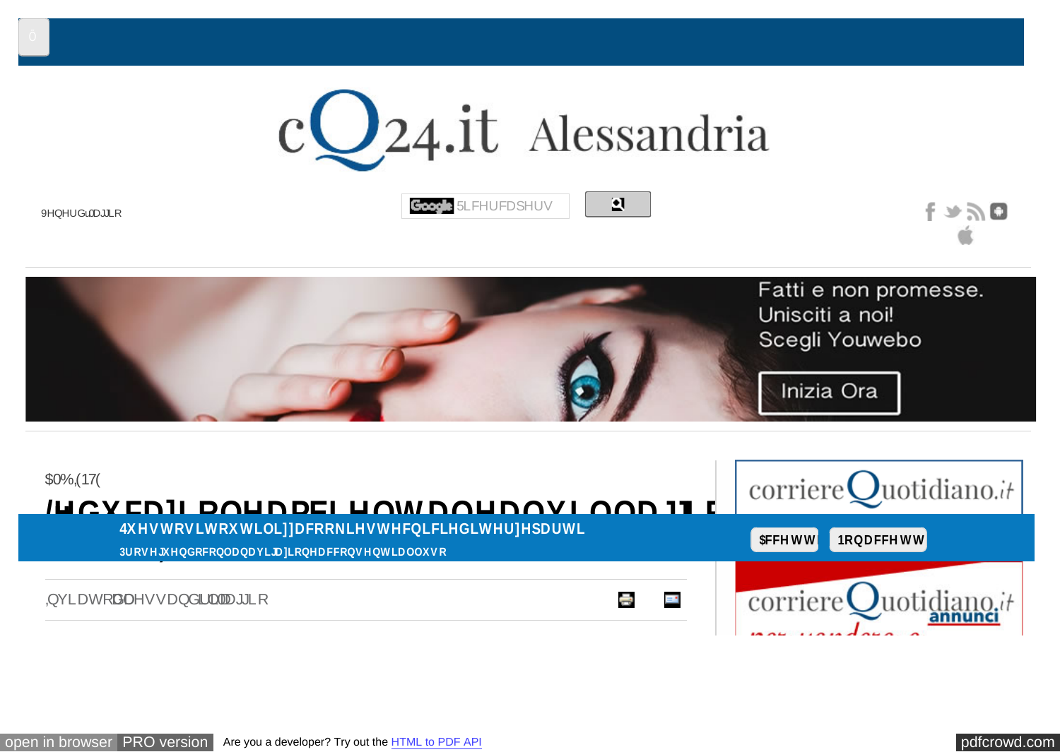<span id="page-1-0"></span>







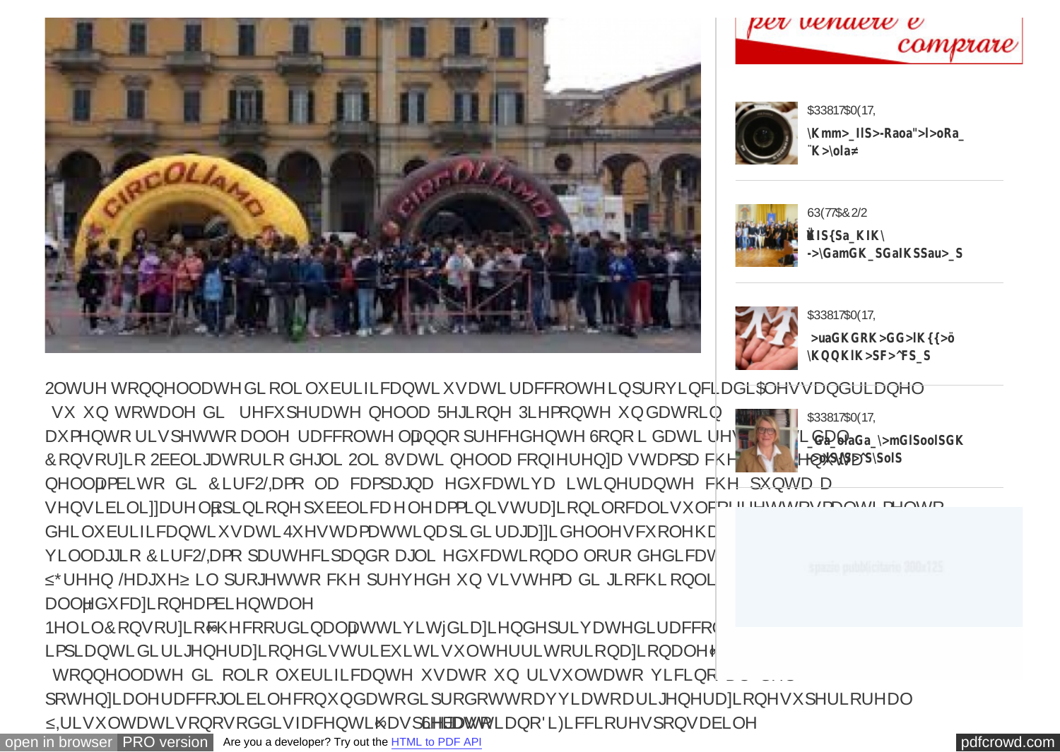[open in browser](http://pdfcrowd.com/redirect/?url=http%3a%2f%2falessandria.cq24.it%2f1.56303%2fambiente%2fpiemonte-alessandria%2f3656%2fl%25E2%2580%2599educazione-ambientale-al-villaggio-circoliamo&id=ma-170512024140-065d976b) [PRO version](http://pdfcrowd.com/customize/) Are you a developer? Try out the **HTML to PDF API** [pdfcrowd.com](http://pdfcrowd.com)

&\$%\*ž gi ib hchU`Y X] %\*"\*\$& fYWidYfUhryDongH5h5hyBHlcbY [ UiaYbhc f]gdYhhc U``Y & \$'& fUWWc`hY `<mark>I Fro</mark>xf Y MYrX X pph Yno - S &RQVRU]LR 2EEOLJDWRULR GHJOL 2OL 8VDWL QHO[OD FRQIHUHQ](http://alessandria.cq24.it/1.56289/curiosit%C3%A0/piemonte-alessandria/3656/incontro-con-la-scrittrice-patrizia-emilitri)]D VWDPSD FKH VL qWHQXWD ->olS{S>^S\SolSb Y ` ` ` ` U a V ] h c ` X ] ` 7 ] f W C @ = U a c ž ` ` U ` W U a d U [ b | U <u>` Y X i W U h ] j U ` ] h ]</u> b Y f gYbg]V]`]nnUfY``Ïcd]b]cbY`diVV`]WU`Y``Y|`"^^1blabf‼plabl'``c XY]``iVf]Z]WUbh]`igUh]"`EiYghU`aUhh]bU` j]``U[[]c 7]fWC@=Uac dUfhYW]dUbXc U[`]| I; f Y Y b @ Y U [ i Y Í ž ˙ ] ` d f c [ Y h h c ˙ W\ Y ˙ d f Y j Y ] U``ÏYXi WUn]cbY 'UaV]YbhU`Y" BY` & \$ %\* ]` 7 c b g c f n ] c  $\hat{E}$  W\Y Wc c f X ] b U ` Ï JadJUbh]X]f][YbYfUn]cbYX]ghf]Vi]h]g  $\%$  + +  $\%$  \$  $\%$  h c b b Y ` U h Y  $\%$  X ]  $\degree$  c ` ] c ` i V f ] Z ] WU b  $\Box$ dchYbn]U`Y`fUWWc[`]V]`Yž`Wcb`ib`XUhc`X]`dfcXchhc`Ujj]Uhc`U ·) ι " i = f ] q i ` h U h ] ` q c b c G Yg Vc UX oX H ]q UZ bU dV Y & ]h ] : `|Ê W W ]U c žq d f| YY qf dU dh loc q U V ] ` Y

C`hfY`&"(\$, hcbbY``UhY`X]`c`]'`iVf]Z]WUb<del>h] igUh] fUWWc`</del>hY







 $5$ DDIBH5A9BH= 10 ^ r X \ X c \ 0 X X 0 } \  $m\setminus b\;b\setminus\}$  \  $\setminus$  Od  $\setminus$  WO o Wd p c



GD 9 HH 5 7 C @ C Ö \Zd'drp\ Z\m  $>$  O m X r  $\sim$  X \ p d X r  $\dot{Z}$  \ d  $\dot{C}$ 



 $5$  D D I B H 5 A 9 B H =  $\hat{m}$   $\sim$  - Op Z } d O  $\rightarrow$  C r  $\mu$  r  $\hat{m}$  $AE\setminus$  0 m, } r  $\zeta$ 

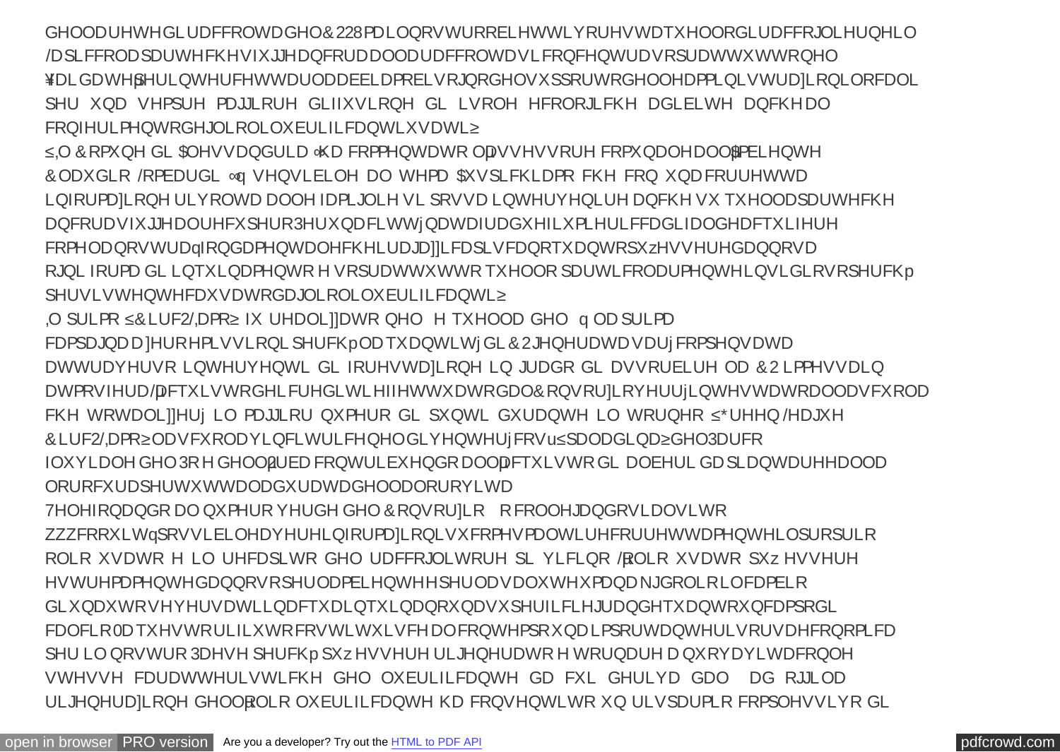W\Y hchU` | nn Y f { ` | ` ` a U | | | c f ` b i a Y f c ` X | ` d i b h | ` X i f U b h Y ` | ` ` | 7] f W C @ = U a c ` & \$ % + Í . `` U ` g Wi c ` U ` j ] b W] h f ] W Y ` b Y ` ` & \$ % + ` X ] j Y b h Y f { ` Z`ij]U`Y`XY``Dc`Y`XY``ÏCfVUž`Wcbhf]ViYbXc`U``ÏUWei]ghc`X] `cfc'WifU'dYf'hihhU'`U'XifUhU'XY``U'`cfc'j]hU" HY`YZcbUbXc U` biaYfc jYfXY XY` 7cbgcfn]cž , \$\$ , \*' \$ (, c kkk" Wcci" ] hž "dcgg] V]`Y Uj YfY ] b Z c f a U n ] c b ] g i Wca Y g a U`h ] i C \ ] C \ i g U h C \ Y \ ] \ \ f Y WU d ] h C \ X Y \ \ f U WWC [ \ ] h C f Y \ d ] - \ j ] W] b C " \ Yghf Ya Ua Ybh Yo X Ubbc gcod Yfor Tilla V] Ybh Yo Yod Yfor Uog Urin Yoia Ub U. X] ibfiUihc ! gY jYfgUh] ]b UWeiU ]bei]bUbc ibU gidYfZ]W]Y WU`W]c" AU ei Yghc f] Z] i hc Wcgh] hi ] g WY U` Wcbh Yadc i b U ] ad  $dYf$  ] bcghfc DUYgYž dYfW\f di' YggYfY f][YbYfUhc Y hcfb gh Ygg Y WUf Uhh Yf]gh] W\Y XY` `i Vf]Z] WUbh Y XU Wi] XYf]j U/ f ] [YbYfUn]cbY XY`` I c` ] c ` i Vf ] Z ] WUbhY \ U ' WcbgYbh ] h c i b ' f ]

WcbZYf]aYbhc XY[`] c`] ``iVf]Z]WUbh] igUh] [" I = ` 7 c a i b Y ` X ] ` 5 ` Y g g U b X f ] U ` Ê ` \ U ` Wc a a Y b h U h c ` ` i U g g Y g g c f Y ` Wc 7 \ U i X ] c  $\circ$  e c a V U f X ]  $\circ$   $\dot{E}$   $\prime$  g Y b g ] V ]  $\circ$  Y  $\prime$  U  $\circ$  h Y a U  $\prime$  5 i g d ] W \ ] U a c  $\circ$  W \ Y ] b Z c f a U n ] c b Y ž ' f ] j c ` h U ' U ` ` Y ' Z U a ] [ ` ] Y ž ' g ] ' d c g g U ' ] b h Y f j Y b ] f Y UbWcfU gZi [ [ Y ' U ' f Y Wid Y f c " ' D Y f ' i b U ' W] h h { ' b U h U ' Z f U ' X i Y ' Z ] i a WcaY U bcghfUž " ZcbXUaYbhU Y W\Y ] fU[Unn] WUd]gWUbc eiU C[b] ZcfaU X] | bei | bUaYbhc Y gcdf Uhhihhc ei Y``c dUfh | Wc`l d Y f g ] g h Y b h Y ž WU i g U h c ` X U [ ` ] ` c ` ] ` ` i V f ] Z ] WU b h ] Í "

,O SULPR ²&LUF2/,DPR³ IX UHDOL]]DWR QHO H TXHOOD GHO q ODSULPD  $WU$ ad $U$ [bUˈUˈnYfcˈYa]qq]cb]žˈdYfW\ $f$  `UˈeiUbh]h{ˈX] 7C& [YbY] Uhhf Uj Yfgc jbh Yfj Ybh ] X ] Zcf Ygh Un ] cb Y ] b [f U Xc X ] Uggc f \ UhacgZYfU" @ IU Wei ] ghc XY ] Wf Y X ] h ] ž Y Z Z Y h h i Uhc X U ` 7 c b g c f n ]

XY``U f Y h Y `X ] `f U W W c `h U `X Y ` `7 C C I `! `a U `] ` `b c g h f c `c V ] Y h h ] j c `f %\$\$I"@U`d]WWc`U`dUfhY`W\Y`gZi[[Y`UbWcfU`U``U`fUWWc`hU`g]`  $\hat{I}$ ZU] XU hY $\hat{I}$ . dYf ] bhYf WYhhUf`U UVV] Uac V] gc [bc XY` giddcfh d Y f i b U g Y a d f Y a U [[] c f Y X ] Z Z i g ] c b Y X ] ' ] g c ` Y ' Y W c ` c [ ] W \ Y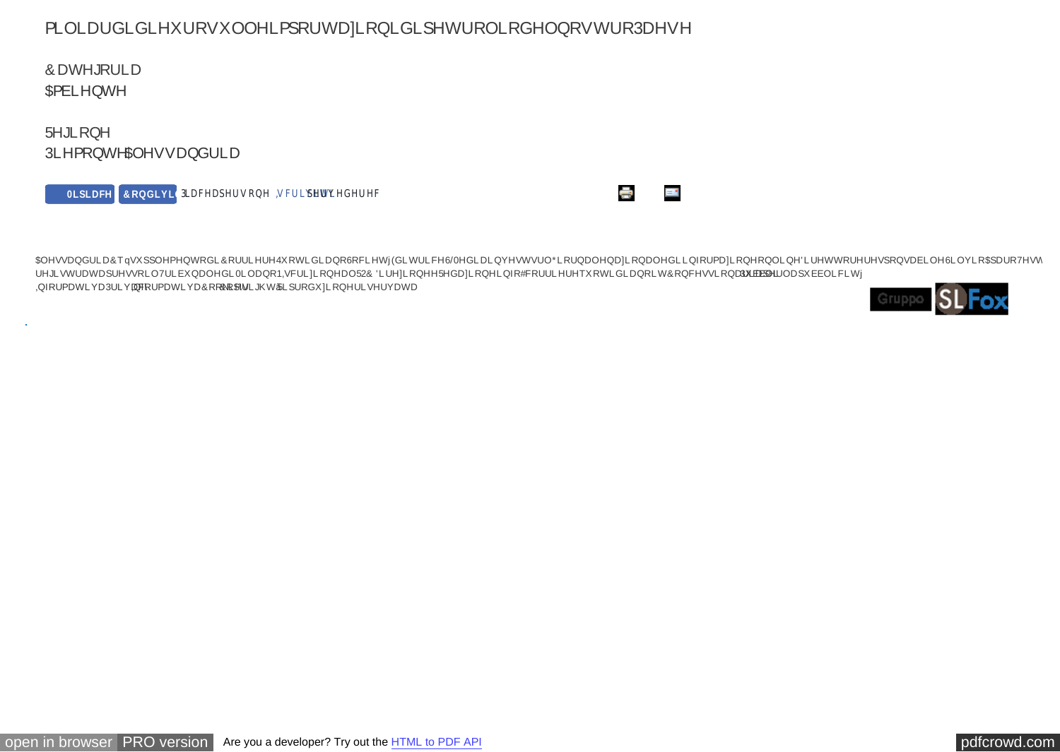a] ` ] Uf X ] ` Y i f c ` g i ` ` Y ` ] adc f h U n ] c b ] ` X ] ` d Y h f c ` ] c ` X Y ` ` b c g h f c

 $5aV$ ] Y b h Y 7 Uh Y [ c f ] U.

D] Yac bh \ Y g g U b X f ] U FY [ ] c b Y .

0LS[LD](http://alessandria.cq24.it/print/56303)FH & RQGLYLGLYLGLYLGLYLGLYLGL 3LDFHDD & RQGLYLGL 3LDFHDDD UWYLU 'EgodWr@dofbyly

5`YggUbXf]U´7e&(´,´gidd`YaYbhc´X]´7cff]YfY´Eich]X]Ubc´!´GcW]Yh{`9X]hf]WY´G@`AYX]U]bjYgh´g"f"`"'!`;]cfbl fY[]ghfUhU'dfYggc']`'Hf]VibU`Y'X]'A]`Ubc'!'B"'=gWf]n]cbY'U`'FC7.'&)('('!Di8YYYh%cbY'Y'FYXUn]cbY'!']bZc4\  $\alpha=0$  Z c f a U h ]  $\beta$  H b  $\overline{2}$ Of f]  $\beta$ j WHM mj U  $\beta$   $\overline{2}$   $\alpha$  ch of  $\beta$  b  $\beta$  b  $\alpha$  i  $\beta$  b  $\alpha$  i  $\beta$  b  $\alpha$  i  $\beta$  b  $\alpha$  i  $\beta$  c  $\beta$  i  $\alpha$  b  $\alpha$  i  $\beta$  b  $\alpha$  i  $\beta$  c  $\alpha$  i  $\alpha$  i  $\alpha$  b  $\alpha$ 

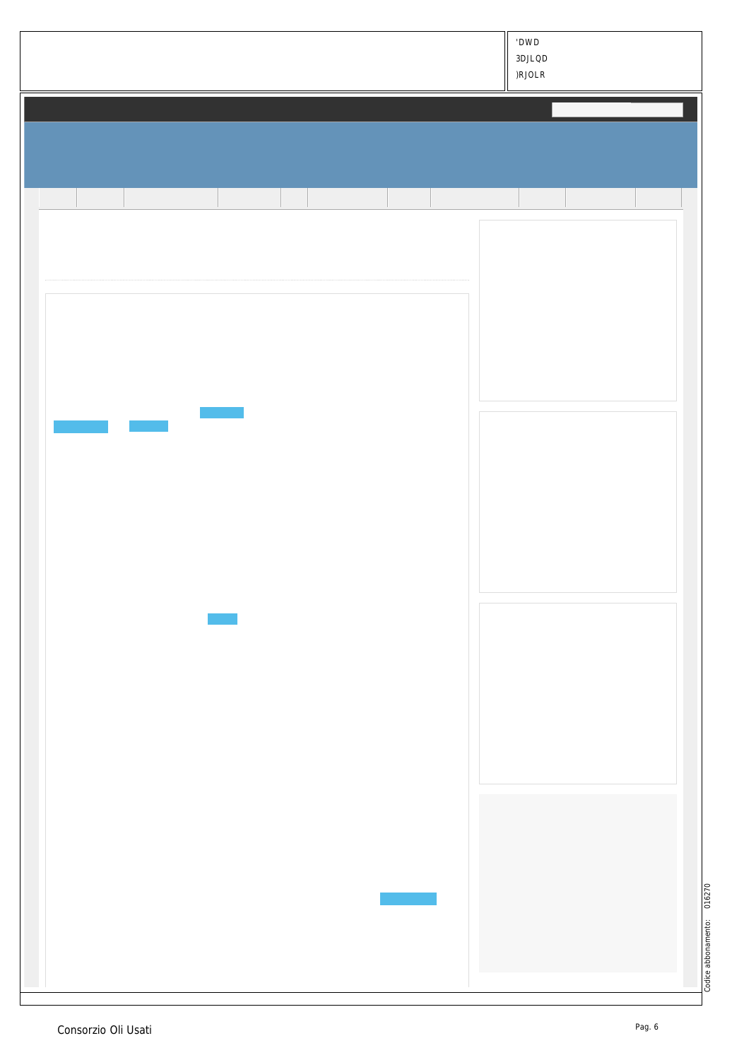<span id="page-5-0"></span>

| & HUFD Q HO<br>+ R P H / D Q R V W U D / MOW R H G D ] L RRQ/WHR J D O S H B K L Y / LLRQ N V X W IDOSLS D V L W R                                                                                                                                                                                                                                                                                                                                                                                                                                                                                                                                                                                                                                                                                                                                                                                                                                                                                                                                                                                                                                                                                                                                                                                                                                                                                                                                                                                                                                                                                                                                                                                                                                                                                                                                                                                                                                                                                                                                                                                                          |
|-----------------------------------------------------------------------------------------------------------------------------------------------------------------------------------------------------------------------------------------------------------------------------------------------------------------------------------------------------------------------------------------------------------------------------------------------------------------------------------------------------------------------------------------------------------------------------------------------------------------------------------------------------------------------------------------------------------------------------------------------------------------------------------------------------------------------------------------------------------------------------------------------------------------------------------------------------------------------------------------------------------------------------------------------------------------------------------------------------------------------------------------------------------------------------------------------------------------------------------------------------------------------------------------------------------------------------------------------------------------------------------------------------------------------------------------------------------------------------------------------------------------------------------------------------------------------------------------------------------------------------------------------------------------------------------------------------------------------------------------------------------------------------------------------------------------------------------------------------------------------------------------------------------------------------------------------------------------------------------------------------------------------------------------------------------------------------------------------------------------------------|
| & URQ D& FXDOW X BIRDOLW LFD HG BIFJRERR P3LLDD6GSRR U6WFXROD HXQLLRYFHHUYVLHWWHUH DOOSDLQLHHGPD07JURQGHRPDQ\$GGHLD#                                                                                                                                                                                                                                                                                                                                                                                                                                                                                                                                                                                                                                                                                                                                                                                                                                                                                                                                                                                                                                                                                                                                                                                                                                                                                                                                                                                                                                                                                                                                                                                                                                                                                                                                                                                                                                                                                                                                                                                                        |
| + R P M3 U L P R 3 ADDPOERL H <sup>3</sup> Q WQH D X P H Q W R O D U D F F R O W D G L R O L O X E U L I L F D Q W L X V D W L D G \$ V W L                                                                                                                                                                                                                                                                                                                                                                                                                                                                                                                                                                                                                                                                                                                                                                                                                                                                                                                                                                                                                                                                                                                                                                                                                                                                                                                                                                                                                                                                                                                                                                                                                                                                                                                                                                                                                                                                                                                                                                                 |
| Q DXPHQWR OD UDFFROWD GL ROL OXEULILFDQWL XVDWL [<br><b>3XEEOLFDWR LO</b><br>PDJJLR<br>2 O W U H<br>WROOHOODWH GL ROL OXEULILFDOWL XVDWL UDFFROWH<br>LQ 3URYLQFLD GL \$VWL QHO VX XQ WRWDOH GL<br>UHFXSHUDWH QHOOD 5HJLRQH 3LHPRQWH XQ GDWR LQ<br>DXPHQWR ULVSHWWR DOOH<br>UDFFROWH O¶DQQR<br>SUHFHGHQWH 6RQR L GDWL UHVL QRWL GDO &RQVRUJLR<br>2EEOLJDWRULR GHJOL 2OL 8VDWL QHOOD FRQIHUHQJD VWDP\$D<br>FKH VL q WHQXWD QHOO¶DPELWR GL &LUF2/, DPR OD<br>FDPSDJQD HGXFDWLYD LWLQHUDQWH FKH SXQWD D<br>VHQVLELOL  DUH O¶RSLQLRQH SXEEOLFD H OH<br>DPPLQLVWUDJLRQL ORFDOL VXO FRUUHWWR VPDOWLPHQWR GHL<br>OXEULILFDQWL XVDWL 4XHVWD PDWWLQD L UDJD]]L GHOOH<br>VFXROH KDQQR YLVLWDWR LO YLOODJJLR & LUF2/, DPR<br>SDUWHFLSDQGR DJOL HGXFDWLRQDO ORUR GHGLFDWL H<br>VILGDQGRVL D <sup>3*</sup> UHHQ /HDJXH' LO SURJHWWR FKH SUHYHGH<br>XQ VLVWHPD GL JLRFKL RQOLQH ILQDOL]]DWL DOO¶HGXFD]LRQH DPELHQWDOH 1HO<br>LO &<br>FRRUGLQD O¶DWWLYLWI GL DILHQGH SULYDWH GL UDFFROWD H GL LPSLDQWL GL ULJHQI<br>WHUULWRULR QD LRQDOH ± KD UDFFROWR LQ WXWWD, WDOLD WRQQHOODWH GL ROLF<br>ULVXOWDWR YLFLQR DO GHO SRWHQ LDOH UDFFRJOLELOH FRQ XQ GDWR GL SURGRWW<br>ULJHQHUD]LRQH VXSHULRUH DO 3, ULVXOWDWL VRQR VRGGLVIDFHQWL ± KD VSLHJDWR 6<br>UHVSRQVDELOH GHOOD UHWH GL UDFFROWD GHO &228 ± PD LO QRVWUR RELHWWLYR UHVWD<br>/D SLFFROD SDUWH FKH VIXJJH DQFRUD DOOD UDFFROWD VL FRQFHQWUD VRSUDWWXWV<br>LQWHUFHWWDUOD DEELDPR ELVRJQR GHO VXSSRUWR GHOOH DPPLQLVWUDILRQL ORFDOL SH<br>GLIIXVLRQH GL LVROH HFRORJLFKH DGLELWH DQFKH DO FRQIHULPHQWR GHJOL ROL OXEULII<br><sup>3</sup> \$G \$VWL ± KD ULFRUGDWR O¶\$VVHVVRUH DOO¶\$PELHQWH 0DULD %DJQDGHQWUR ± OH XWH<br>GHYRQR FRQIHULUH TXHVWD WLSRORJLD GL ULILXWR FRQVLGHUDWR XUEDQR SURYHQLHC<br>ULSDUD]LRQH H PDQXWHQ]LRQH GL YHLFROL D PRWRUH   HVHJXLWH D VHJXLWR GL µIDL GD<br>SDFFROWD &RPXQDOH ± (FRFHQWUR GL 9LD &HFD HQWUR XQ TXDQWLWDWLYR DQQXDOH GL<br>(G q DOOR VWXGLR XQ FDSLWRODWR GL JDUD FRQ YDOXWD]LRQH GHO SURJHWWR SD<br>NJ<br>OTDIILGDPHQWR GHOOD UDFFROWD DQFKH GL ROL YHJHWDOL HVDXVWL GHULYDQWL GDOOD<br>FRPH DYYLHQH LQ DOWUH   RQH GHOOD QRVWUD UHJLRQH' |
| , O SULPR 3& LUF2/, DPR'IX UHDOL]] DWR QHO HTXHOOD GHO q OD SULPD FDPSDJQD<br>HPLVVLRQL SHUFKP OD TXDQWLWJ GL &2 JHQHUDWD VDUJ FRESHIG DO WERQ WOULD YHUVR LQWI<br>IRUHVWDJLRQH LQ JUDGR GL DVVRUELUH OD &2 LPPHVVD LQ BWPRYWHD<br>EXUD SHIL WAWWD ON SALE CONTROLL ON SALE FOR THE READ THAT THE TAT DOESN'T BE THE CHO SERVATOR CONTROLL TO A P<br>WRUQHR 3*UHHQ /HDJXH &LUF2/,DPR (OD VFXROD FKH WRWDOLIJHU) LO BDYJQD YQABILIN C<br>WRUQHR 3*UHHQ /HDJXH &LUF2/,D<br>FXUD SHU WXWWD OD GXUDWD GHOOD ORUR YLWD<br>PDJJLR /HJJ                                                                                                                                                                                                                                                                                                                                                                                                                                                                                                                                                                                                                                                                                                                                                                                                                                                                                                                                                                                                                                                                                                                                                                                                                                                                                                                                                                                                                                                                                                                                                                                            |
| 7HOHIRQDQGR DO QXPHUR YHUGH GHO &RQVRUILR<br>R FR <b>Q Q R UDPQ OG RLYR Q BIVSLXVEFIZZ</b> Z<br>SRVVLELOH DYHUH LQIRUPDJLRQL VX FRPH VPDOWLUH FRUUH PAMANAND WHLL S ROP SWLF ROLR<br>UDFFRJOLWRUH SL• YLFLQR / ¶ROLR XVDWR SXz HVVHUH HVWUJHPPPPUQVVHWQDDQWRVRHSHU OT<br>UDFFRJOLWRUH SL• YLFLQR / ¶ROLR XVDWR SXZ HVVHUH HVWWHPPPPMQLWHWQDDQWALYPSHU OT =<br>VDOXWH XPDQD NJ G¶ROLR ± LO FDPELR GL XQ¶DXWR ± VH YHUVDWL LQ DFTXD LQTXLQDQF<br>JUDQGH TXDQWR XQ FDPSR GL FDOFLR 0D TXHVWR ULILXWR FRVWLWXLVFH<br>ULVRUVD HFRQRPLFD SHU LO QRVWUR 3DHVH SHUFKp SXZ HVVHUH ULJHQHUDWR H WRUQDL<br>VWHVVH FDUDWWHULVWLFKH GHO OXEULILFDQWH GD FXL GHULYD GDO<br>DG RJJL OD ULJI                                                                                                                                                                                                                                                                                                                                                                                                                                                                                                                                                                                                                                                                                                                                                                                                                                                                                                                                                                                                                                                                                                                                                                                                                                                                                                                                                                                                                                                |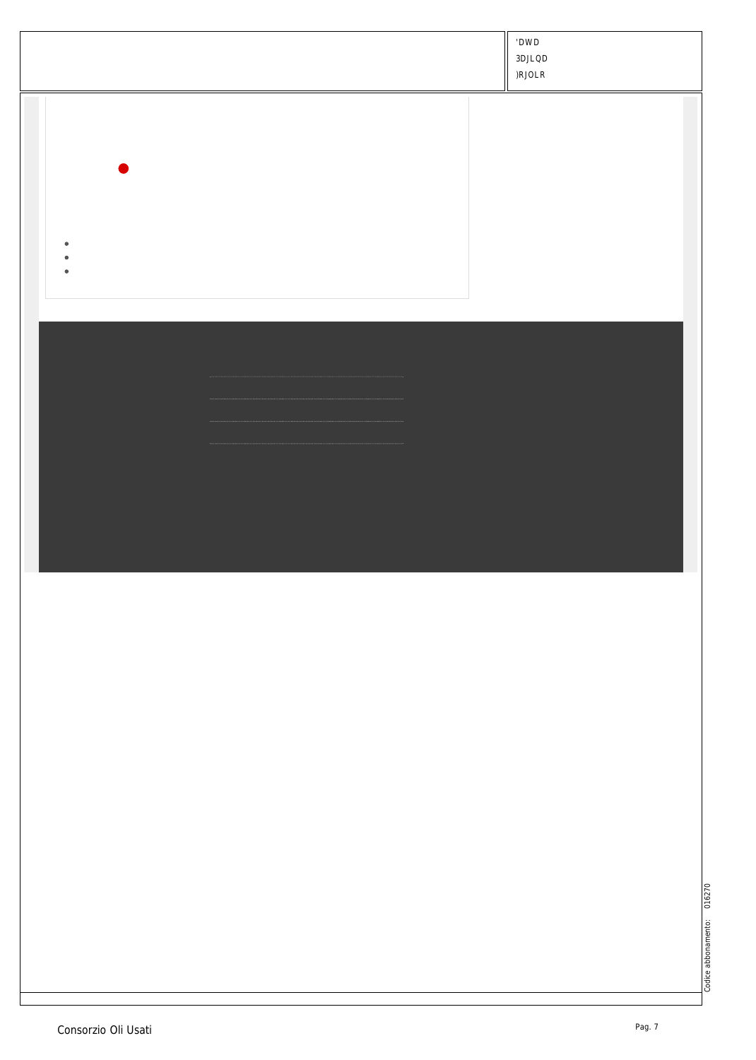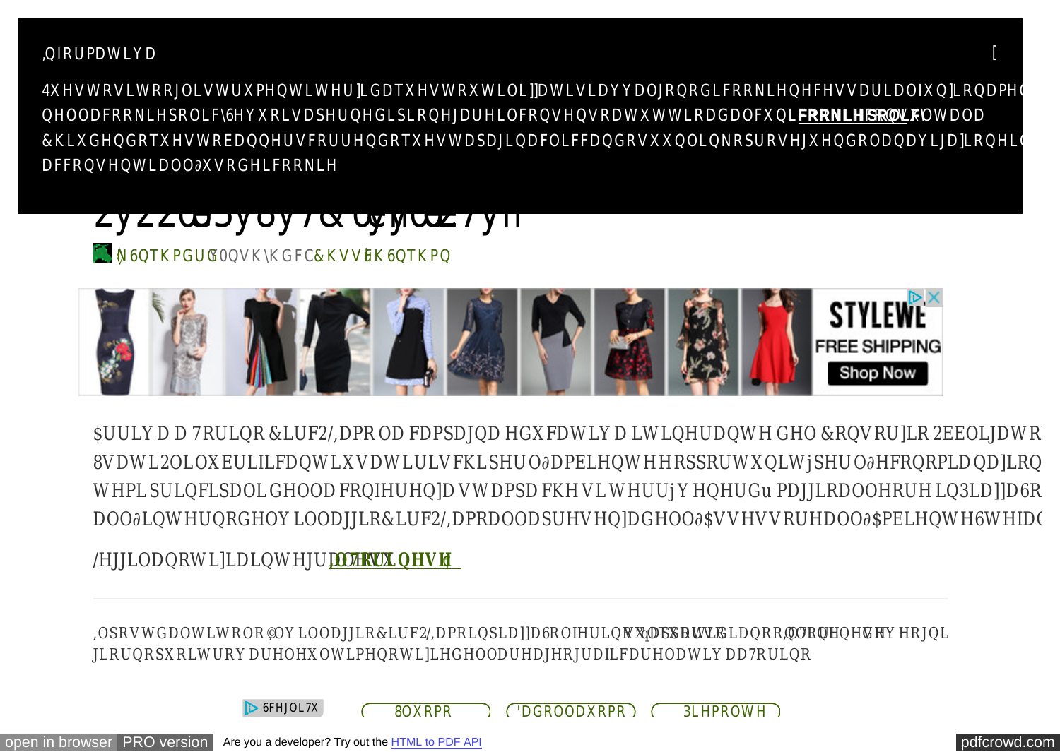<span id="page-7-0"></span>

### $\mathbb{C}^{\mathbb{N}}$



 $\mathbf{G}$  $\sqrt{2}$ 

[open in browser](http://pdfcrowd.com/redirect/?url=http%3a%2f%2fit.geosnews.com%2fp%2fit%2fpiemonte%2fto%2ftorino%2fil-villaggio-circoliamo-in-piazza-solferino_15722648&id=ma-170512022834-3a41f84b) [PRO version](http://pdfcrowd.com/customize/) Are you a developer? Try out the **HTML to PDF API** provesses and the extendion of the MTML to PDF API posted and the extendion of the extendion of the extendion of the extendion of the extendion

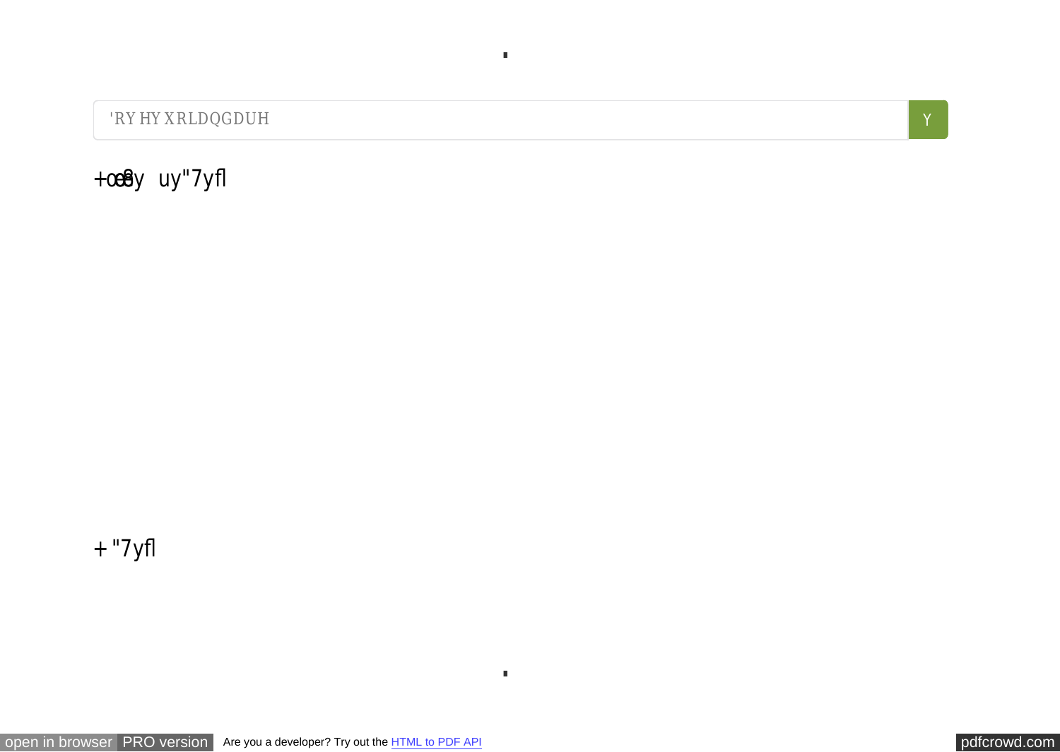### [open in browser](http://pdfcrowd.com/redirect/?url=http%3a%2f%2fit.geosnews.com%2fp%2fit%2fpiemonte%2fto%2ftorino%2fil-villaggio-circoliamo-in-piazza-solferino_15722648&id=ma-170512022834-3a41f84b) [PRO version](http://pdfcrowd.com/customize/) Are you a developer? Try out the **HTML to PDF API proper and the Section** [pdfcrowd.com](http://pdfcrowd.com)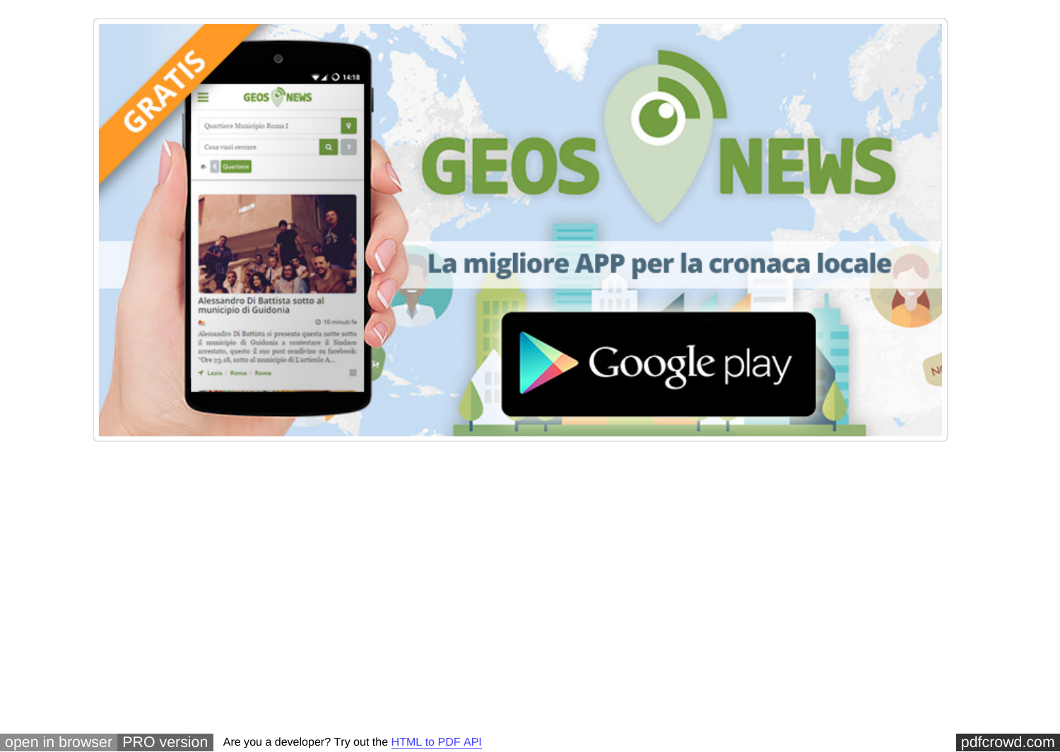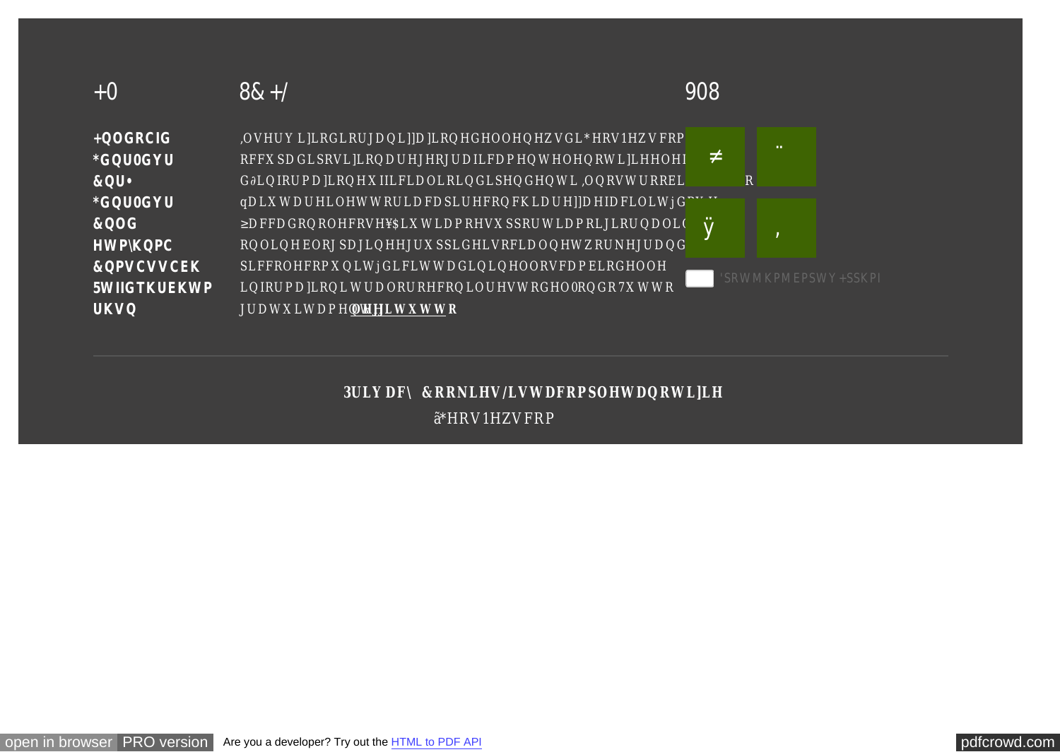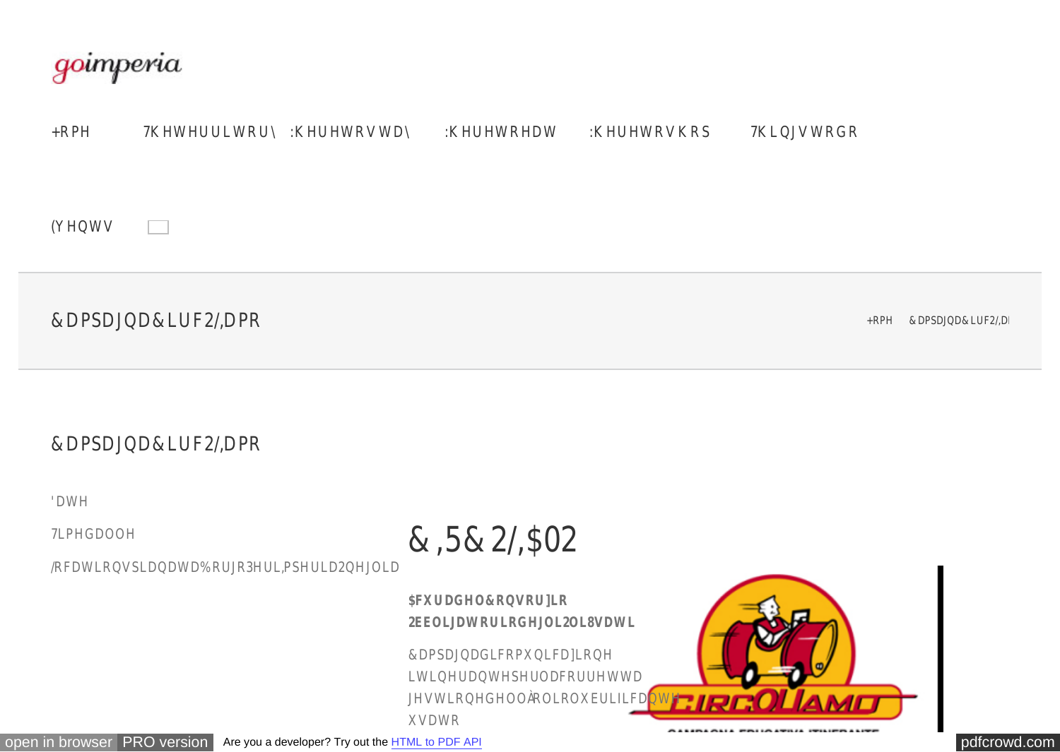<span id="page-12-0"></span>

 $\sim$ 



CALIFORNIA PRIJAATUM ITILIERALITE

[open in browser](http://pdfcrowd.com/redirect/?url=http%3a%2f%2fwww.goimperia.com%2fevent%2fcampagna-circoliamo%2f&id=ma-170512023521-179d36e4) [PRO version](http://pdfcrowd.com/customize/) Are you a developer? Try out the **HTML to PDF API** provesses and the extent of the state of the state of the state of the state of the state of the state of the state of the state of the state o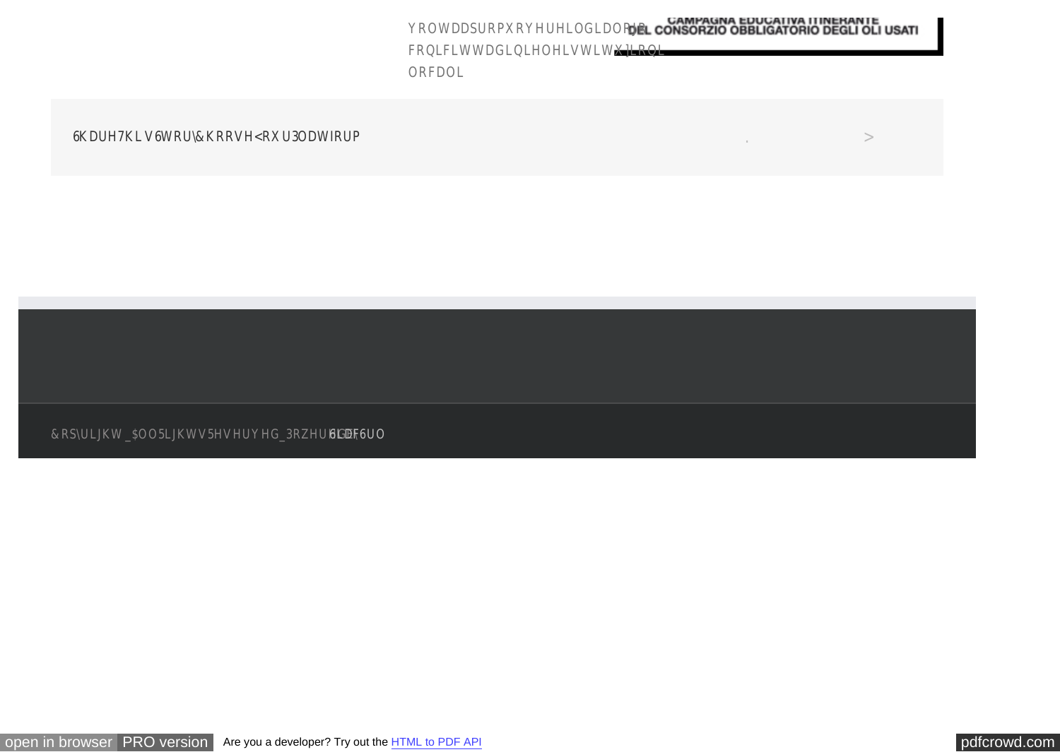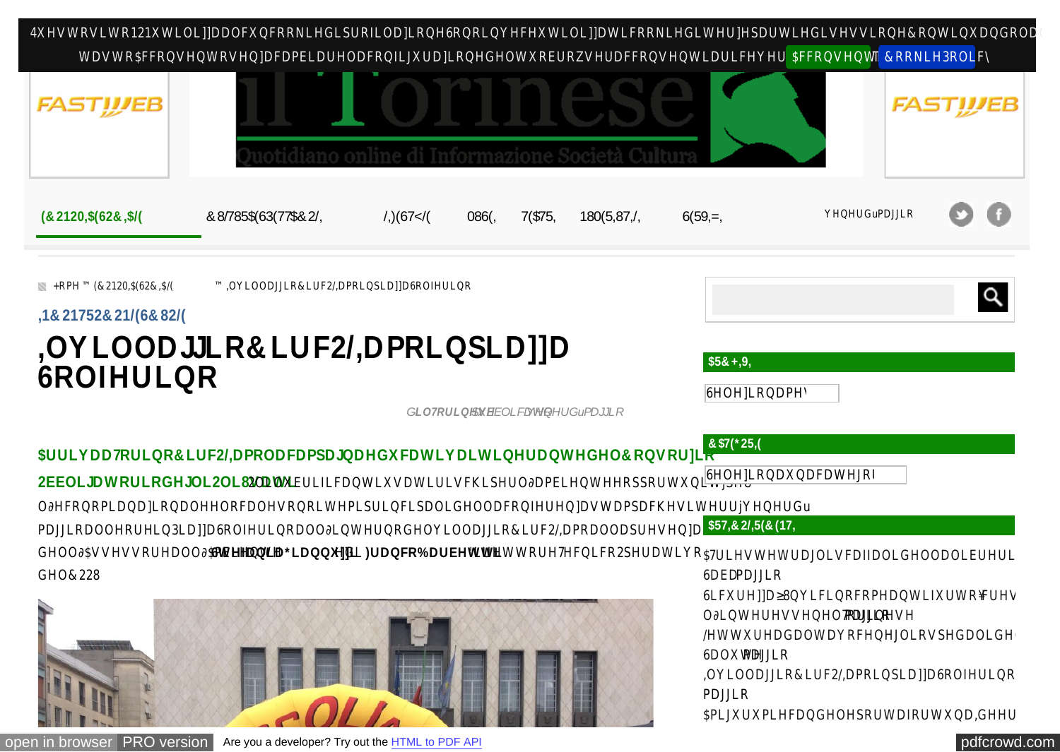<span id="page-14-0"></span>

[open in browser](http://pdfcrowd.com/redirect/?url=http%3a%2f%2fwww.iltorinese.it%2fil-villaggio-circoliamo-in-piazza-solferino%2f&id=ma-170512022947-0a27d28f) [PRO version](http://pdfcrowd.com/customize/) Are you a developer? Try out the **HTML to PDF API** provesses and the extendion of the MTML to PDF API posted and the extendion of the extendion of the extendion of the extendion of the extendion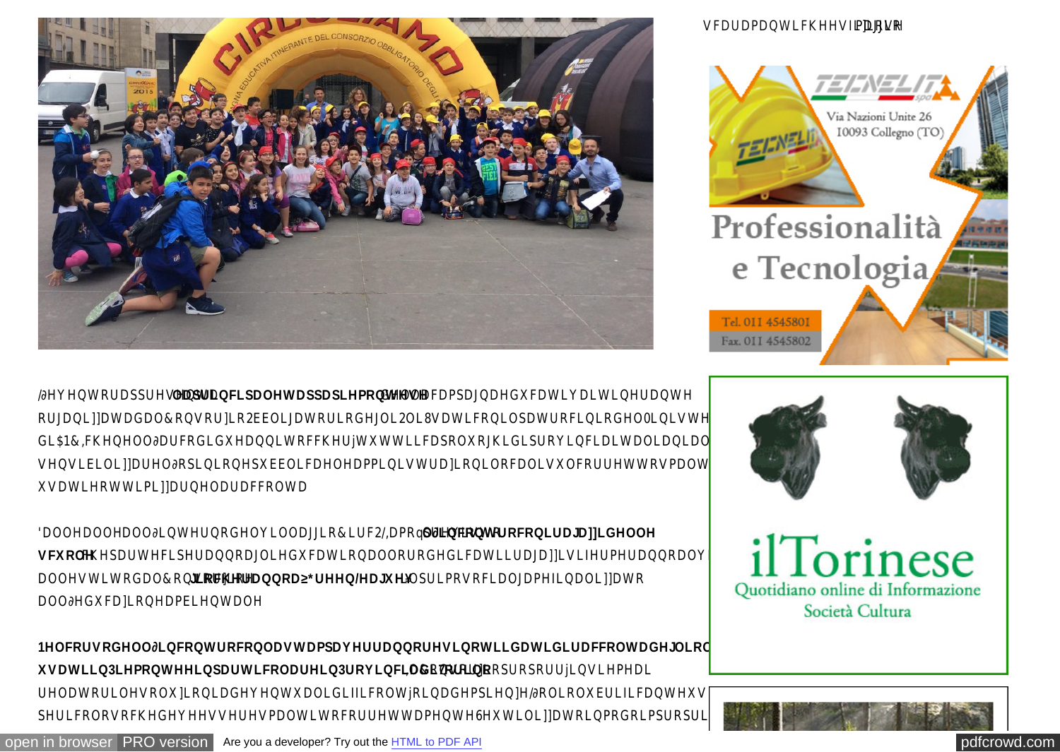





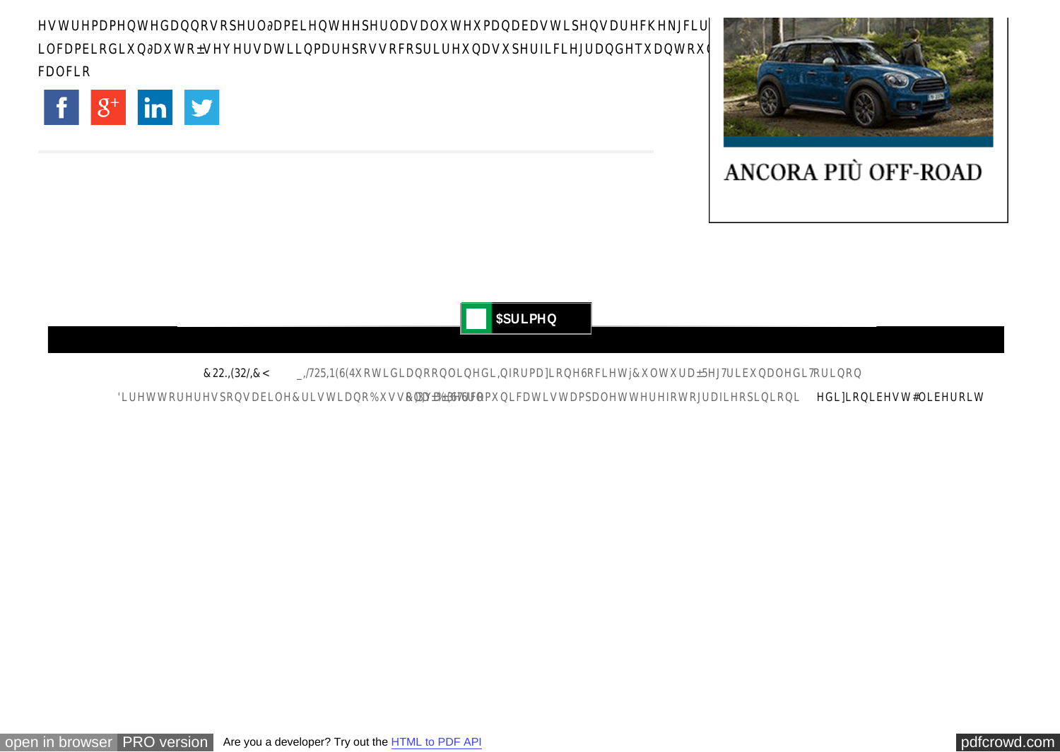



ANCORA PIÙ OFF-ROAD



[open in browser](http://pdfcrowd.com/redirect/?url=http%3a%2f%2fwww.iltorinese.it%2fil-villaggio-circoliamo-in-piazza-solferino%2f&id=ma-170512022947-0a27d28f) [PRO version](http://pdfcrowd.com/customize/) Are you a developer? Try out the **HTML to PDF API produce and the ACCOL** [pdfcrowd.com](http://pdfcrowd.com)

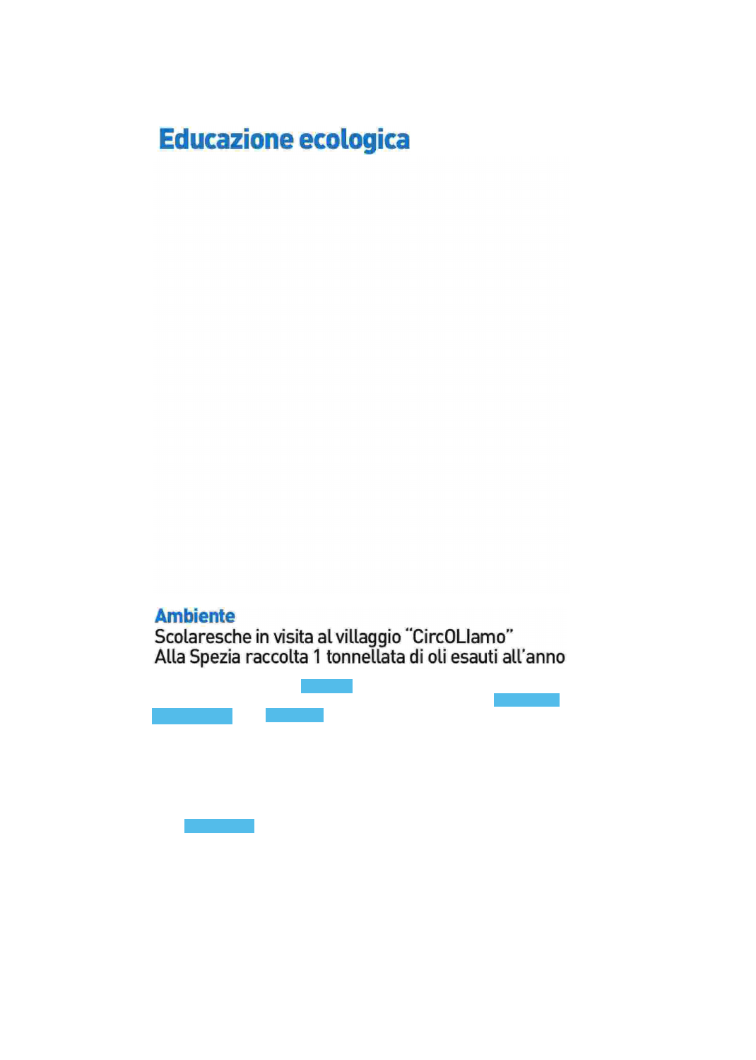Quotidiano

## <span id="page-17-0"></span>**Educazione ecologica**

**Ambiente** Scolaresche in visita al villaggio "CircOLlamo"<br>Alla Spezia raccolta 1 tonnellata di oli esauti all'anno

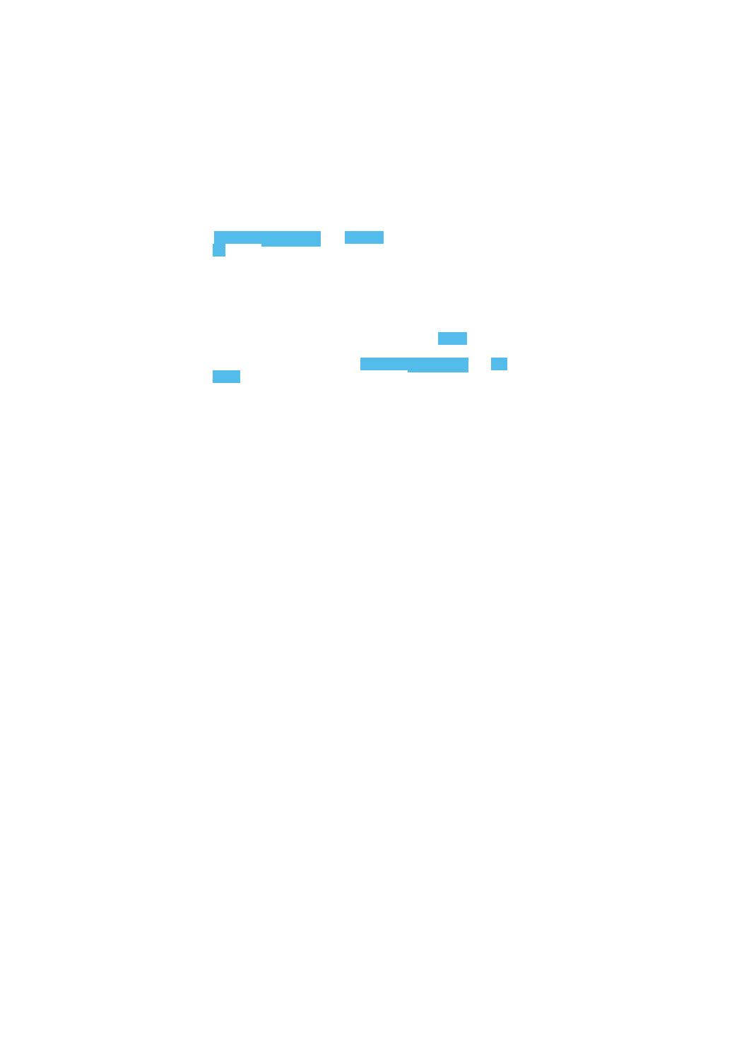Quotidiano

<span id="page-18-0"></span>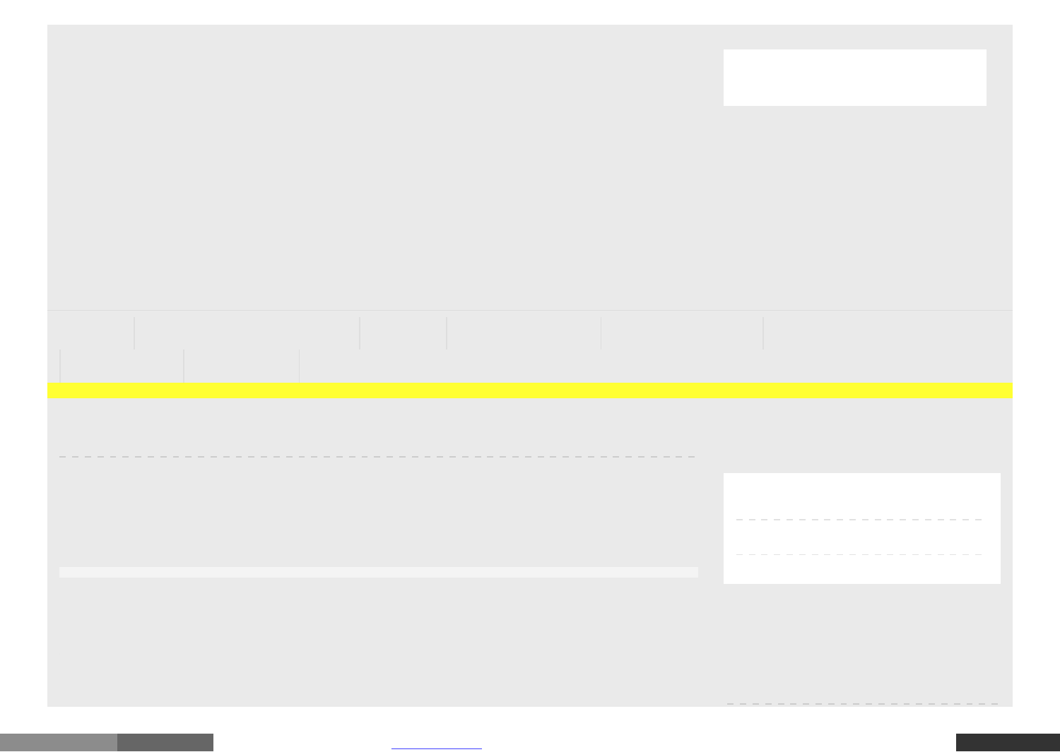<span id="page-19-0"></span> $3WKFMNKPM^2GPMDQ^2k$ aJn $T$ ? RWQKUGIWKTEKCI

+QOG 6I0GYU 5RQTV6TCUOKUUK\*QQPNK /WUKAECOFKQEKV[ ØN \* TWR&RQQPVCV\$VTKGC 2TGUU

 $\begin{array}{c}\n\bullet \bullet \bullet \bullet \bullet \bullet \bullet \bullet \bullet \bullet\n\end{array}$ +QOG6I0GYU |0QVK\KGORCIPCKPHQTOCVKXCEQPVTQ KPSWKPCOGPVQ QNK NWDTKHKECPVK  $\sigma$  = J  $\mathsf{T}^\alpha$ } T  $\mathsf{c}$  a T O ANNO ANG ING PAPA AANTA TAHUA AAAAA<br>GOVCHA LOOVCHWOODOLDO KRIIOTOOVCYVO FORVTO

## & D P S D J Q D L Q I R U P D W L Y D 2 A Loo?aJn T? LQTXLQDPHQWR ROL OXE 2rqqL ^L oLJTL

JT LqqT-cnHLJJr  $, \ldots$  ? RRTc  $\ddot{Q}$   $\ddagger$   $\ddot{f}$ <sup>M</sup>  $\ddot{f}$  $\ddot{S}$ 

?qLRcnT  $^{\wedge}$  Loo?aJn $\sqrt{m}$ ? «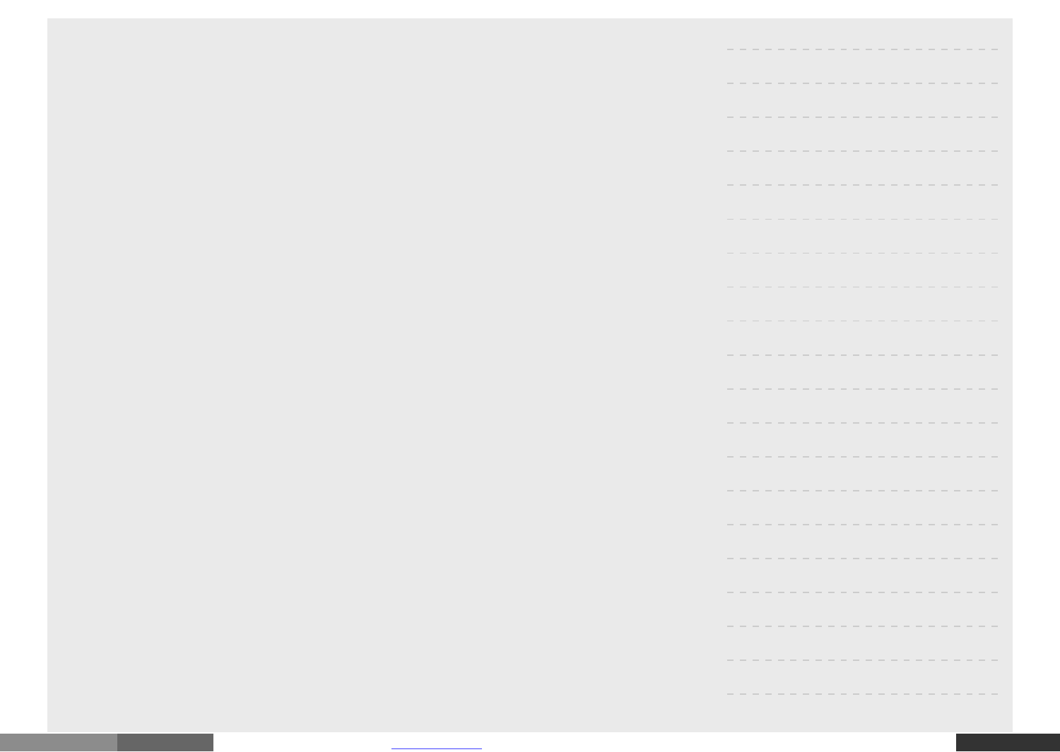|                                                                                                                                                                                                                                                                                | `GTLaqLÐ a,ựff+RT                                 |
|--------------------------------------------------------------------------------------------------------------------------------------------------------------------------------------------------------------------------------------------------------------------------------|---------------------------------------------------|
|                                                                                                                                                                                                                                                                                | TaL`?¬«                                           |
|                                                                                                                                                                                                                                                                                | $\wedge$ T $\hat{a}$ $\hat{a}$                    |
|                                                                                                                                                                                                                                                                                | $nca?$ $M_0$ $S$ «                                |
|                                                                                                                                                                                                                                                                                | $r \wedge q \rceil n$ .? $\wedge$                 |
|                                                                                                                                                                                                                                                                                | rn TcoCEoSC «                                     |
|                                                                                                                                                                                                                                                                                | Hcac I.?                                          |
|                                                                                                                                                                                                                                                                                | $J T$ } T $c, a L$ «                              |
|                                                                                                                                                                                                                                                                                | a Jroq,nf#? «                                     |
|                                                                                                                                                                                                                                                                                | oqTqr}T <b></b> ‡aT «                             |
|                                                                                                                                                                                                                                                                                | # ? $q \cdot n$ <del>2 <math>\dot{S}</math></del> |
|                                                                                                                                                                                                                                                                                | $-c \wedge T q.T.$ $\forall n$ $\in$ $\mathbb{R}$ |
| OTUG POP VWVVK UCPPQ EJG QIPK OQVQTG C EQODWUVKQPG-KPVGTPC P<br>GUGORKQ SWGNNK FK CWVQ OQVQ XGKEQNK CITREDIRKS <sup>3</sup> G CKR PCXCNK<br>KPFWUVTKCNK RGT HWP\KQPCTG JCPPQ DKUQIPQ FKLGHUTGPGTNLW,D.THAWHKE<br>SWGUVQ UEQRQ XGPIQPQ KORKGICVK QNK NWDTKHKEEBYY? OH PATG @KPG |                                                   |
| WTCPVG NÆWVKNK\\Q NÆQNKQ UK EQPUWOC UWDGPFO-VTCUHQTOC\KQP<br>EJG NQ TGPFQPQ PQP RK¶ KFQPGQ EQUVTKPIGPFQEK CNGQUVKVWKINQ T                                                                                                                                                      | $2LHac^{\wedge}$ $\#R$ T ? «                      |
| /C SWGNNQ EJG ¥ DGPG EQPQUEGTG ¥ EJG NÆQNK <b>Qr\MUTG\%G+*.</b> «WP TKHKW\<br>EJG UG UOCNVKVQ KP OQFQ UEQTTGVVQ Q KORKGT STO KO CPKGTC KORT<br>GUUGTG CNVCOGPVG KPSWKPCPVG 5G XGTUCVQ KP-VGTTC-RGPGVTC PG<br>CXXGNGPCPFQ NC HCNFC CESWKHGTC EJG HQTPKUEGUN EQESWG RQVCDK       |                                                   |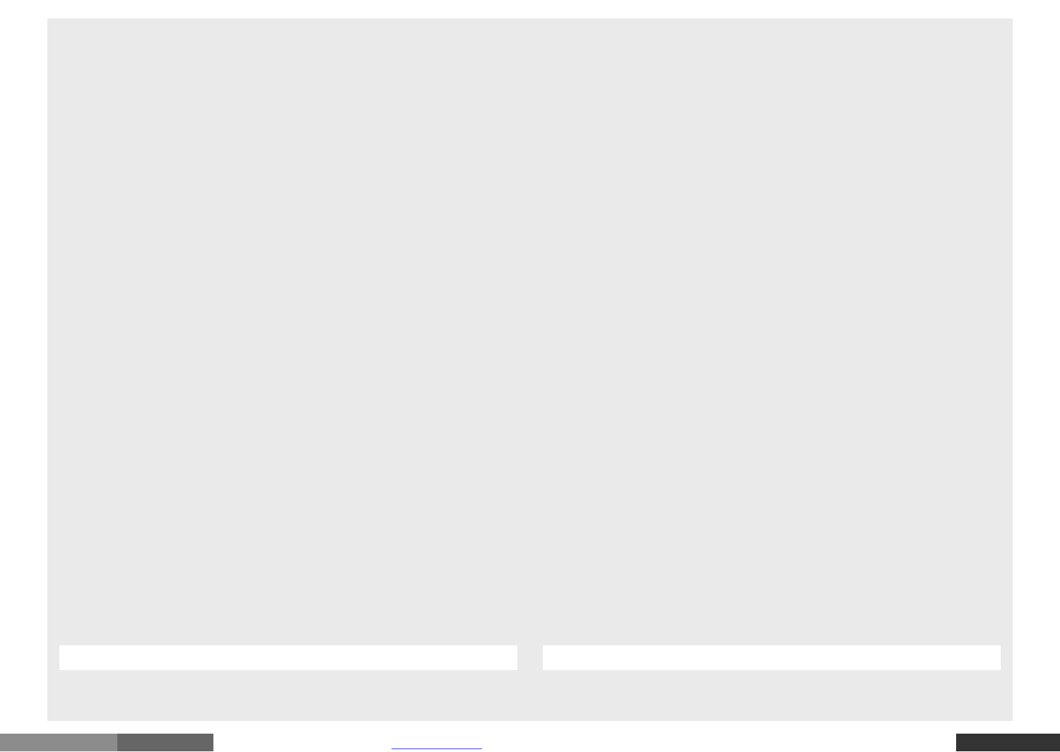NÆKTTKIC\KQPGFGNNG EQNVWTG 5G KPXGEG FKURGTUQ KP CESWC ICN WPC RGNNKEQNC KORGTOGCDKNG EJG FGVGTOKPC NC OQTVG RGT OCPE QUUKIGPQ FK VWVVQ EK<sup>-</sup> EJG XKXG CN FK UQVVQ ØPHKPG UG DTWEKCV KORTQRTKCOGPVG NÆQNKQ WUCVQ KOOGVVG PGNNÆCVOQUHGTCUQUVC ITCFQFKFGVGTOKPCTGKPVQUUKEC\KQPKGOCNCVVKG

2GT SWGUVQ OQVKXQ KN EQPUQT\KQ QDDNKICVQTKQ FGINK QNK WUCVK ECORCIPC FK KPHQTOC\KQPG TKXQNVC CK TCIC\\K FGNNG UEWQNG KVCN IKWPVC CPEJG CF \$NGUUCPFTKC FQXG KP RKC\\C \*CTKDCNFK UVWFC XKUKVCVQ KN XKNNCIIKQ & KTEQNKCOQ RCTVGEKRCPFQ CINK GFWECVKQ NQTQ G UHKFCPFQUK C \*TGGP.GCIWG KN RTQIGVVQ EJG RTGXGFG WP U IKQEJKQPNKPGHKPCNK\\CVKCNNÆGFWEC\KQPGCODKGPVCNG

ØP RTQXKPEKC FK \$NGUUCPFTKC NQ UEQTUQ CPPQ UQPQ UVCVK TCEEQN VQPPGNNCVG FK QNK WUCVK UW WP VQVCNG FK QNVTG OKNC TGEWRG 2KGOQPVG

È2GT WPC EKVV• PCVC HTC FWG HKWOK EQOG \$NGUUCPFTKC G TKEEC FK CESWKHGTG Ã JC EQOOGPVCVQ NÆCUUGUUQTG EQOWPCNG CNNÆCODKGP .QODCTFK Ã ¥ HQPFCOGPVCNG EJG K RK¶ IKQXCPK ECRKUECPQ SWCPVQ FCPPQUC QIPK HQTOC FK KPSWKPCOGPVQ G UQRTCVVWVVQ SWGNNQ RCT KPUKFKQUQ RGTEJ¦RGTUKUVGPVG ECWUCVQ FCINK ONK NWDTKHKECPV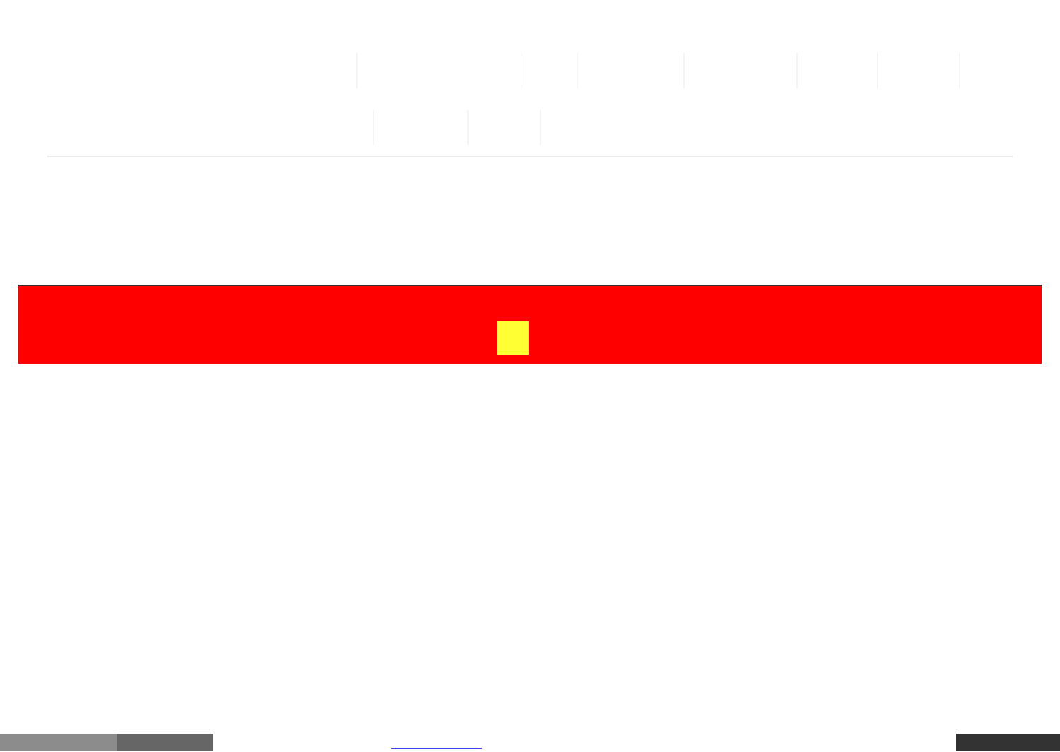+QOG6I0GYU 5RQT6VTCUOKUUKQQNPFK / WUKLEEKQEOKNY [\*TWRRQ

& QPVC STIGC 2T & QQMKGU

6 GNGEKV[URC 5 GFG.GICNG 8 KCØFKQOK\$UUCIQ /Ø&&Ø\$\$4(\$\$.04

( OCKRHQ#VGNQEKCVPKKUVOQFKXKIKNCP\C#VGNGEKV[KV .C FKIKVCNK\\C\KQPG FGNNC TGIKQPG NKIWTKC ¥ CXXGPWVC EQP KN EQPVTKDWVQ FGI

3WGUVQ UKVQ WVKNK\\C K EQQMKG RGT OKINKQTCTG UGTXK\K GF GURGTKGP\C FGK NGV WU 1MØPHQTOC\KQPK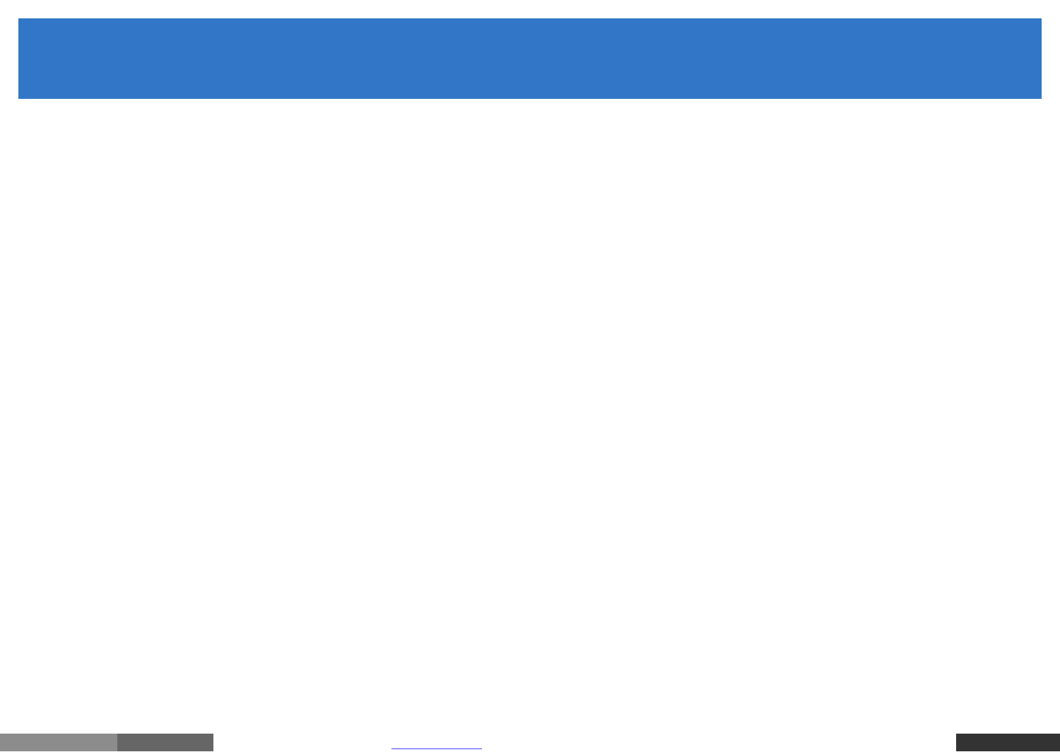## \* JSYN 6HJLR

<span id="page-23-0"></span>(YHQWDQLIHVWD]LRQL

# S 7RULQR OD FDPSDJ( DPELHQWDOLVWD LWL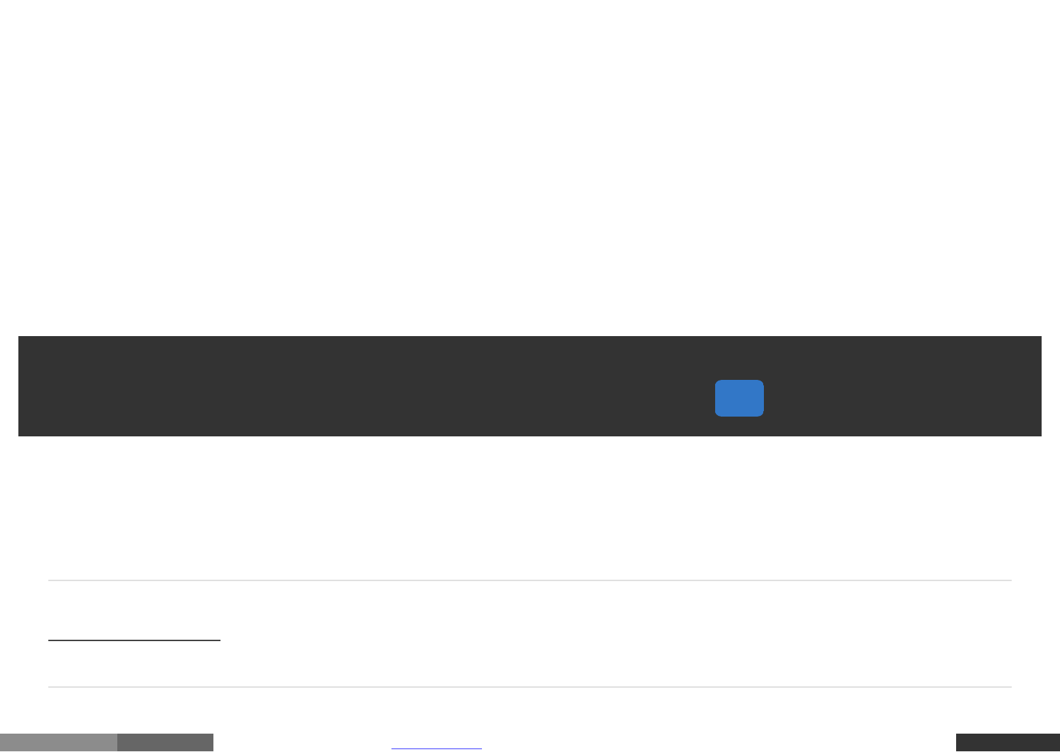### 6X TXHVWR VLWR XWLOL]]LDPR FRRNLH WHFQLFL H FRRNLH GL SU**RIRLOWILORXODHQ GSRHODP D**

SUHVWL LO FRQVHQVR DOODJJXRPULGLQM 2. DILIRQRRNLH

'29( 9LOODJJLR&LUF2OLDPR

3LD]]D6ROIHULQR

48\$1'2

open in browser PRO version Are you a developer? Try out the HTML to PDF API position of the ATML to PDF API pdfcrowd.com

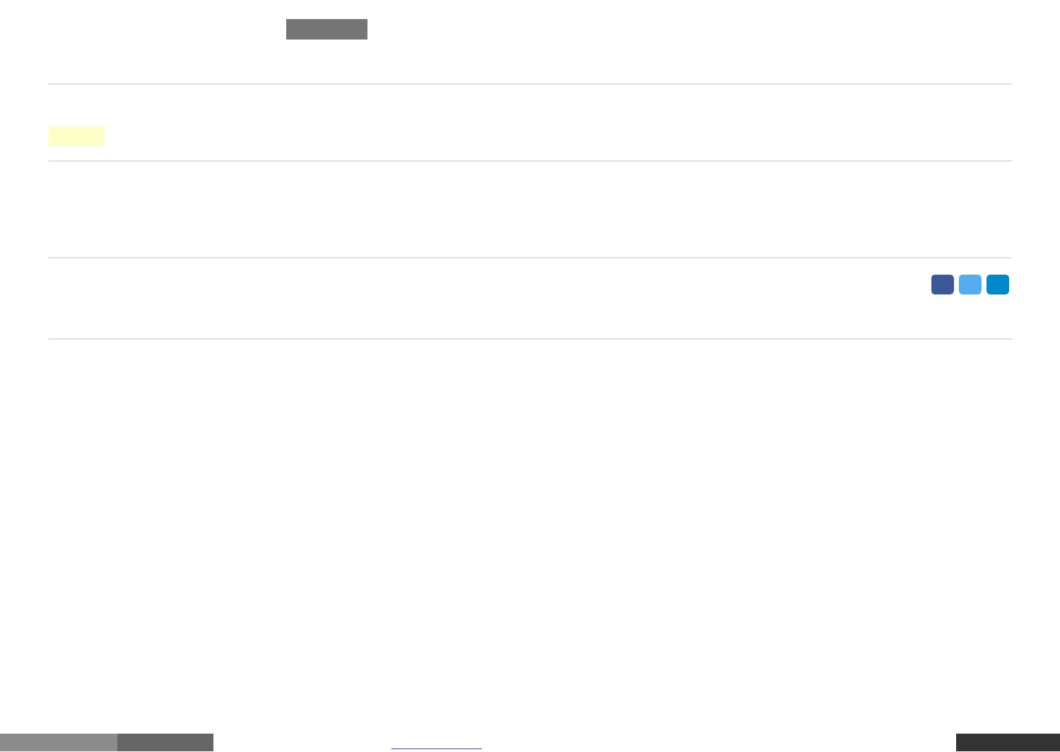| 'DO<br>GDOOH                                   | DO | $62/2$ $2**$          |  |  |
|------------------------------------------------|----|-----------------------|--|--|
| $35 (= = 2)$<br>$*5$7,6$                       |    |                       |  |  |
| $$/75( , 1)250$ = , 21,$<br>(YHQWR SHU EDPELQL |    |                       |  |  |
| PDJJLR                                         |    | ' $RPHQLFR = DFFDULD$ |  |  |

\$UULYD DG 7RULQR &LUF2/,DPR OD FDPSDJQD HGXFDWLYI 2EEOLJDWRULR GHJOOIL 2OOKLEURILDQWL XVDWL ULVFKL SHU O HFRQRPLD QD]LRQDOH H ORFDOH VRQR L WHPL SULQFLS YHQHUGX PDJJLRDOOHRUH **DQ**O3LLQQ]]]MOH0RQRIBHUQRLOO SUHVHQ]D GHOO \$VVHVVRUH DOO \$PELHQWH 6WHIDQLD \*L 2SHUDWLYRGHO&228

/ HYHQWR UDSSUHVHQWD OD SULQFLSDOH WDSSD SLHPRQ RUJDQL]]DWD GDO &RQVRU]LR 2EEOLJDWRULR GHJOL 2OL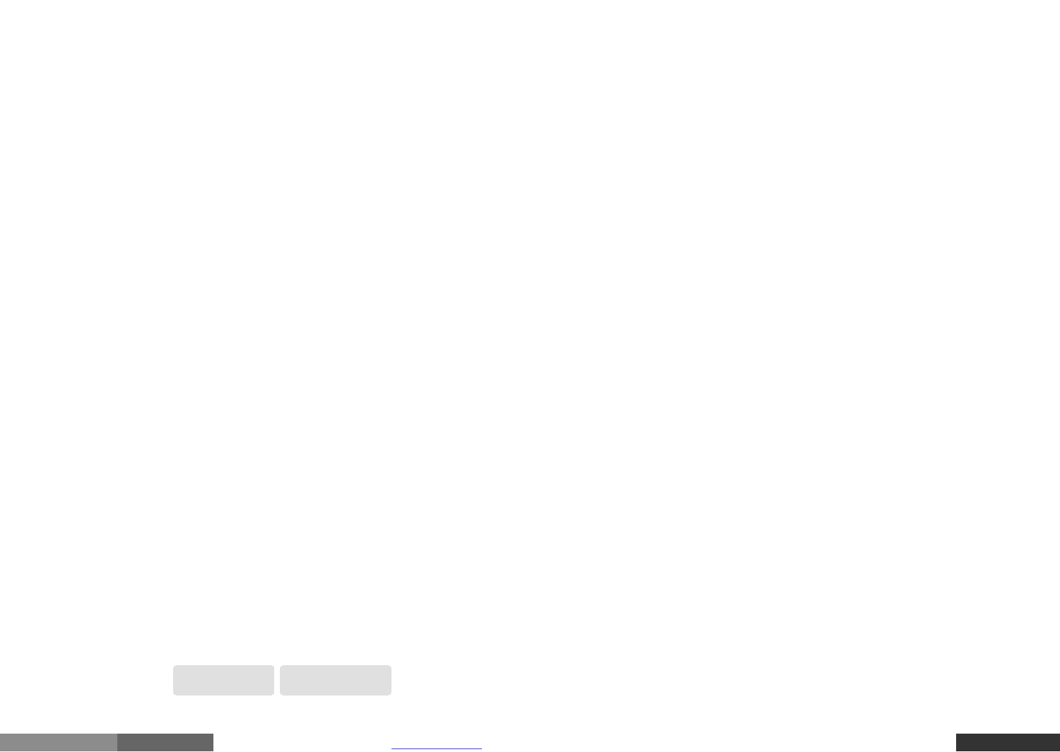GHOO \$PELHQWH H GL \$1&, FKH QHOO DUFR GL GXH DQQL LWDOLDQL DOOR VFRSR GL VHQVLELOL]]DUH O RSLQLRQH VPDOWLPHQWR GHL OXEULILFDQWL XVDWL H RWWLPL]]DUC

'DOOH DOOH DOO LQWHUQRGHVOS**VHOYOVUVJRIRO&LQUFFR2Q**WDU VFXROH FKH SDUWHFLSHUDQQR DJOL HGXFDWLRQDO ORU DOOHVWLWR GDO &RQVRU]LR H JLRFKHUDQQR D \*UHHQ /H DOO HGXFD]LRQH DPELHQWDOH 1HO FRUVR GHOO LQFRQV UDFFROWD GHJOL ROL OXEULILFDQWL XVDWL LQ 3LHPRQW &RQVRU]LR SURSRUUu LQVLHPH DL UHODWRUL OH VROX]

/ ROLR OXEULILFDQWH XVDWR v XQ ULILXWR SHULFRORVR XWLOL]]DWR LQ PRGR LPSURSULR SXy HVVHUH HVWUHPDP XPDQD EDVWL SHQVDUH FKH NJ FLUFD GL ROLR LO FDI FRSULUH XQD VXSHUILFLH JUDQGH TXDQWR XQ FDPSR GL

\$WWHQGHUH XQ LVWDQWH VWLDPR FDULFDQGR OD PDSSD GHO S

### \$UJRPH DPELH( FDPSDJ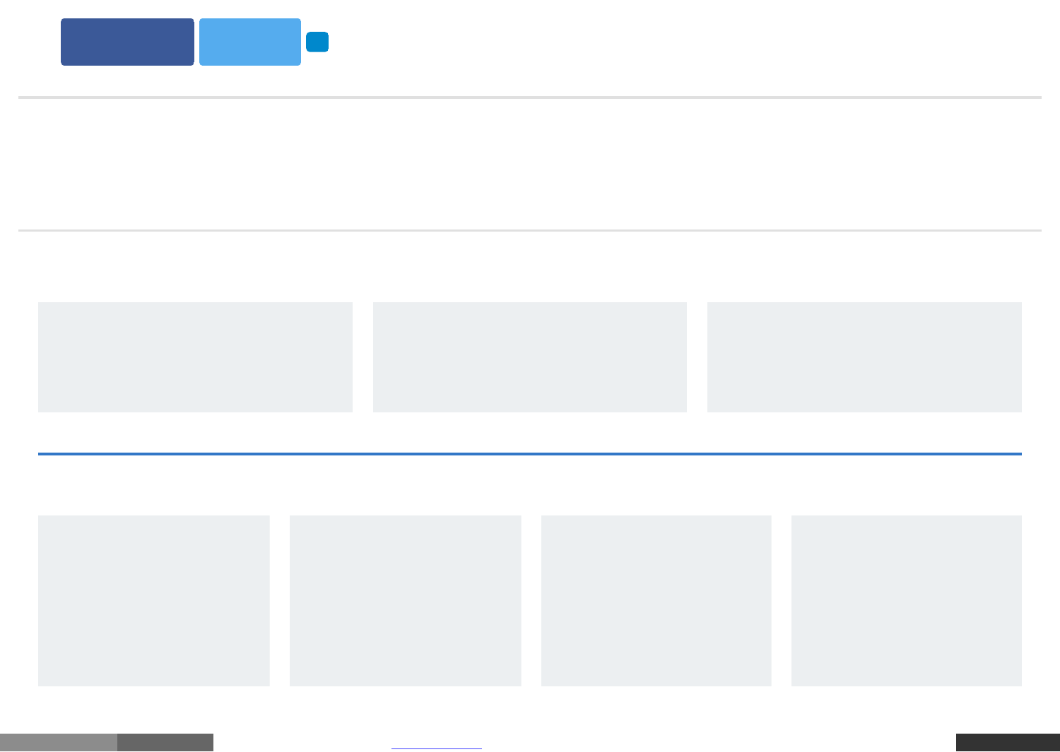

\$WWHQGHUH XQ LVWDQWH VWLDPR FDULFDQGR L FRPPHQWL GHJ( &RPPHQWL

### 5TYWJGGJ.SYJWJXXFWYN

7LWDQLF É 7KH ([KLELWLRQ DO GHOOH %HOOH \$

&RUVL GL <RJD JUDWXLWH DO F 6KDPEKDYL

\*UDQ 7RXU LO GHJOL LWLQHUD GL 7RULQR H GF

### .UN}[NXYN

7LWDQLF E &RUVL GL < \*U  $$U W LIDFW$  ( DOOD 3URP FHQWUR VW DO GHOOH %HO

SURYH JUDV 6KDPEKDYL

 $*UDQ7RXU$ FLFOR GHJ( 0DJQXP R( DOOD VFRS 7RULQR H G 3LHPRQWH

 $\overline{\bigwedge}$ , WDOLD 0 D J Q X P LPPDJLQ &DPHUD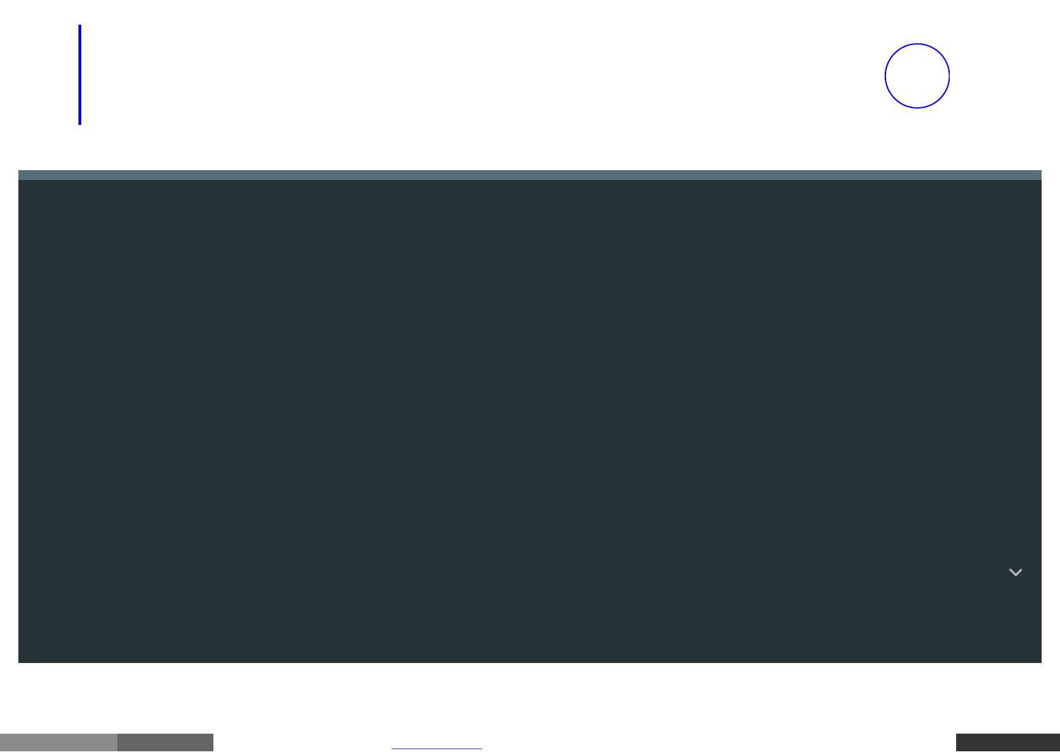## HMFTK@QHSX S@KX TLLHS ÝI RTAHSN BNOQHQ@H BNLD KD SDBMNKNFHD DRONM**BMMFT@KK@HQBH@KZ**

| $8515/$ ,                     | $$336$ 62&, \$/                                       |        |
|-------------------------------|-------------------------------------------------------|--------|
| & U R Q D F D                 |                                                       |        |
| 6SRUW                         |                                                       |        |
| 3ROLWLFD                      |                                                       |        |
| (FRQRPLD H /DYRUR             |                                                       |        |
| 6PDUW & LW\                   |                                                       |        |
| & R V D I D U H L Q F L W W j |                                                       |        |
| $= R Q H$                     |                                                       |        |
| 6HJQDOD]LRQL                  |                                                       |        |
|                               |                                                       |        |
|                               |                                                       | $\vee$ |
| <b>&amp;RS\ULJKW</b>          | 7RULQR7RGD\ VXSSOHPHQWR DO SOXULVHWWLPDQDOH WHOHPDWLF |        |
|                               |                                                       |        |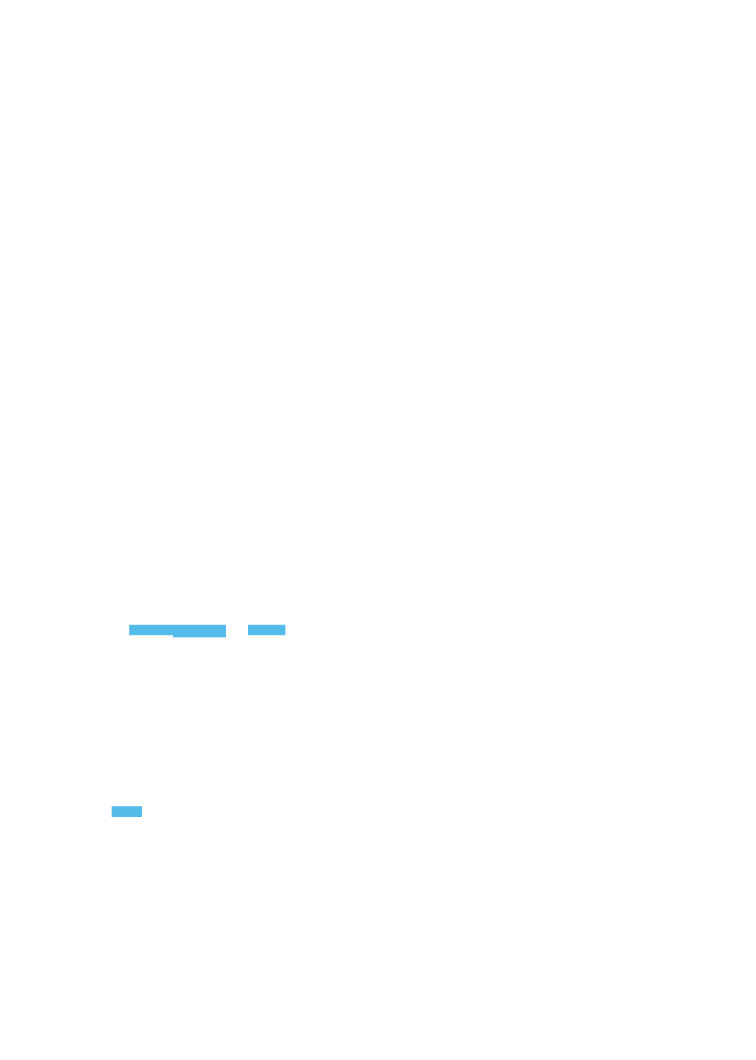**Contract Contract**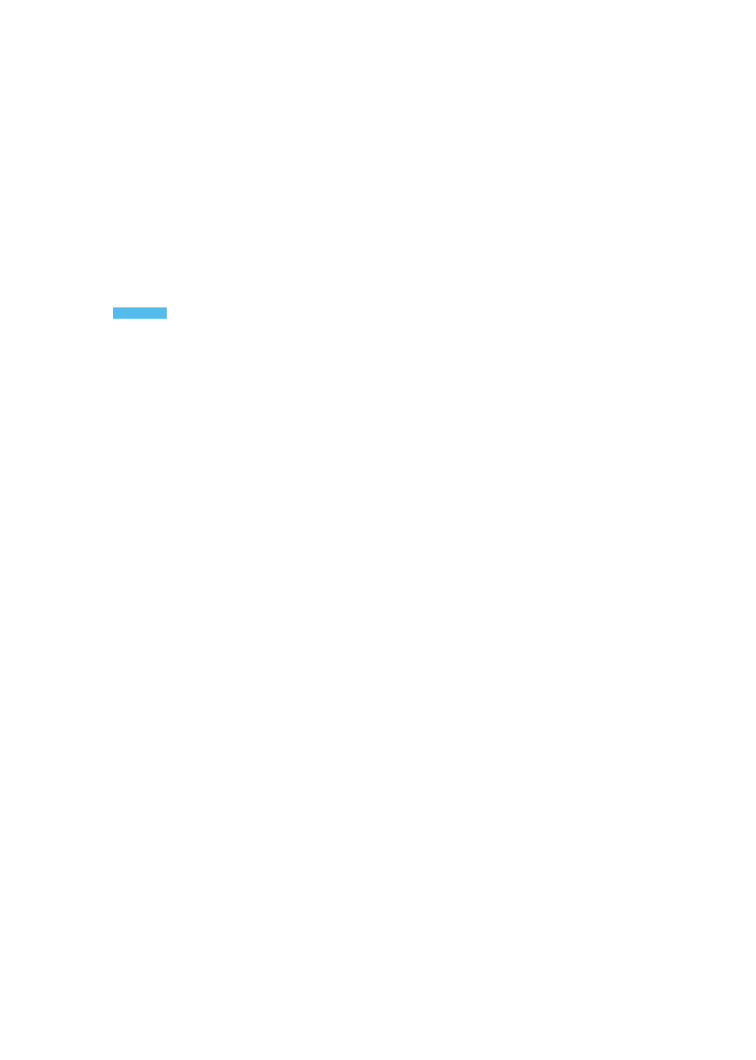$\mathcal{O}(\mathcal{O}_\mathcal{O})$  . The set of  $\mathcal{O}(\mathcal{O}_\mathcal{O})$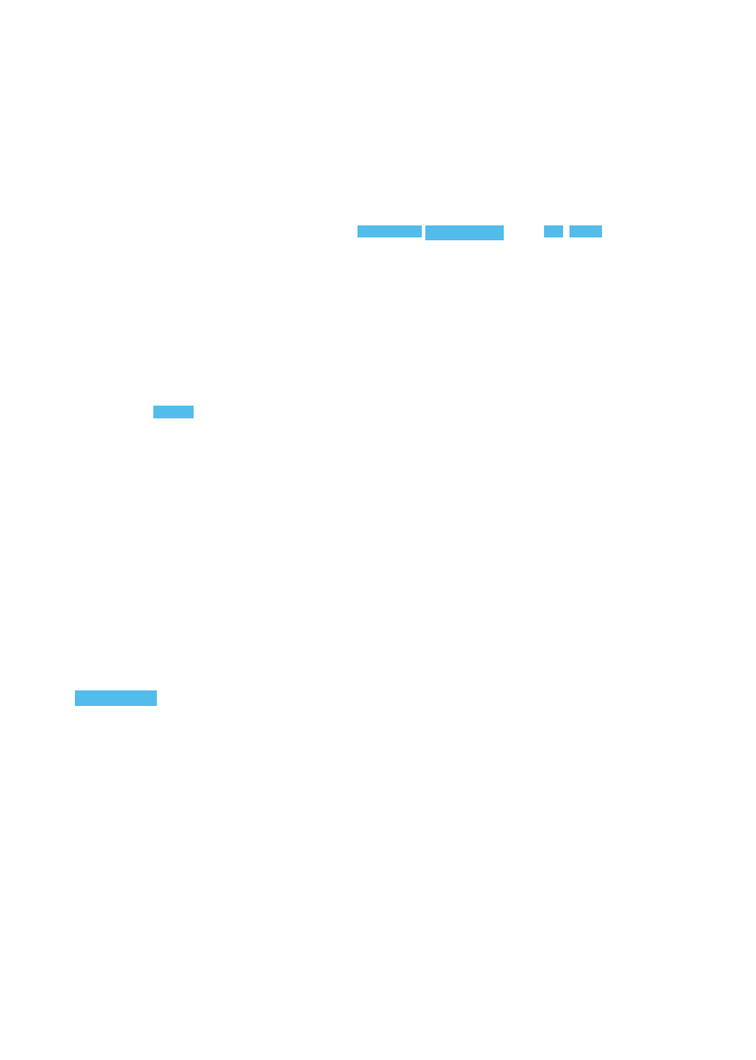<span id="page-32-0"></span>

| the control of the control of the control of the control of the control of the control of the control of the control of the control of the control of the control of the control of the control of the control of the control |  |
|-------------------------------------------------------------------------------------------------------------------------------------------------------------------------------------------------------------------------------|--|

Codice abbonamento: 016270 Codice abbonamento: 016270

 $\mathcal{L}^{\text{max}}_{\text{max}}$  and  $\mathcal{L}^{\text{max}}_{\text{max}}$